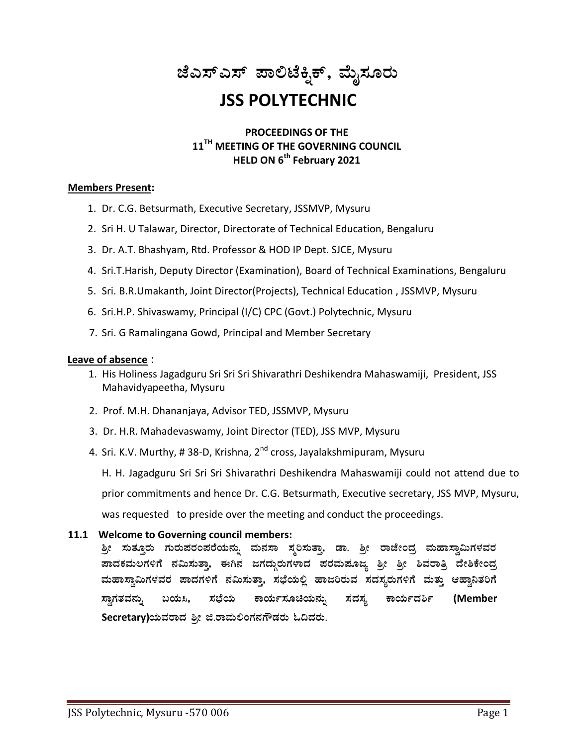# ಜೆಎಸ್ಎಸ್ ಪಾಲಿಟೆಕ್<del>ವ</del>ಿಕ್, ಮೈಸೂರು

## **JSS POLYTECHNIC**

#### **PROCEEDINGS OF THE 11 TH MEETING OF THE GOVERNING COUNCIL HELD ON 6 th February 2021**

#### **Members Present:**

- 1. Dr. C.G. Betsurmath, Executive Secretary, JSSMVP, Mysuru
- 2. Sri H. U Talawar, Director, Directorate of Technical Education, Bengaluru
- 3. Dr. A.T. Bhashyam, Rtd. Professor & HOD IP Dept. SJCE, Mysuru
- 4. Sri.T.Harish, Deputy Director (Examination), Board of Technical Examinations, Bengaluru
- 5. Sri. B.R.Umakanth, Joint Director(Projects), Technical Education , JSSMVP, Mysuru
- 6. Sri.H.P. Shivaswamy, Principal (I/C) CPC (Govt.) Polytechnic, Mysuru
- 7. Sri. G Ramalingana Gowd, Principal and Member Secretary

#### **Leave of absence** :

- 1. His Holiness Jagadguru Sri Sri Sri Shivarathri Deshikendra Mahaswamiji, President, JSS Mahavidyapeetha, Mysuru
- 2. Prof. M.H. Dhananjaya, Advisor TED, JSSMVP, Mysuru
- 3. Dr. H.R. Mahadevaswamy, Joint Director (TED), JSS MVP, Mysuru
- 4. Sri. K.V. Murthy, #38-D, Krishna, 2<sup>nd</sup> cross, Jayalakshmipuram, Mysuru

H. H. Jagadguru Sri Sri Sri Shivarathri Deshikendra Mahaswamiji could not attend due to prior commitments and hence Dr. C.G. Betsurmath, Executive secretary, JSS MVP, Mysuru, was requested to preside over the meeting and conduct the proceedings.

#### **11.1 Welcome to Governing council members:**

ಶ್ರೀ ಸುತ್ತೂರು ಗುರುಪರಂಪರೆಯನ್ನು ಮನಸಾ ಸ್ಮರಿಸುತ್ತಾ, ಡಾ. ಶ್ರೀ ರಾಜೇಂದ್ರ ಮಹಾಸ್ವಾಮಿಗಳವರ ಹಾದಕಮಲಗಳಿಗೆ ನಮಿಸುತ್ತಾ, ಈಗಿನ ಜಗದ್ದುರುಗಳಾದ ಪರಮಷೂಜ್ಯ ಶ್ರೀ ಶ್ರೀ ಶಿವರಾತ್ರಿ ದೇಶಿಕೇಂದ್ರ ಮಹಾಸ್ವಾಮಿಗಳವರ ಪಾದಗಳಿಗೆ ನಮಿಸುತ್ತಾ, ಸಭೆಯಲ್ಲಿ ಹಾಜರಿರುವ ಸದಸ್<mark>ನ</mark>ರುಗಳಿಗೆ ಮತ್ತು ಆಹ್ತಾನಿತರಿಗೆ  $\bm{\pi}$ ಸ್ರಗತವನ್ನು ಬಯಸಿ, ಸಭೆಯ ಕಾರ್ಯಸೂಚಿಯನ್ನು ಸದಸ್ಯ ಕಾರ್ಯದರ್ಶಿ (Member Secretary)ಯವರಾದ ಶ್ರೀ ಜಿ.ರಾಮಲಿಂಗನಗೌಡರು ಓದಿದರು.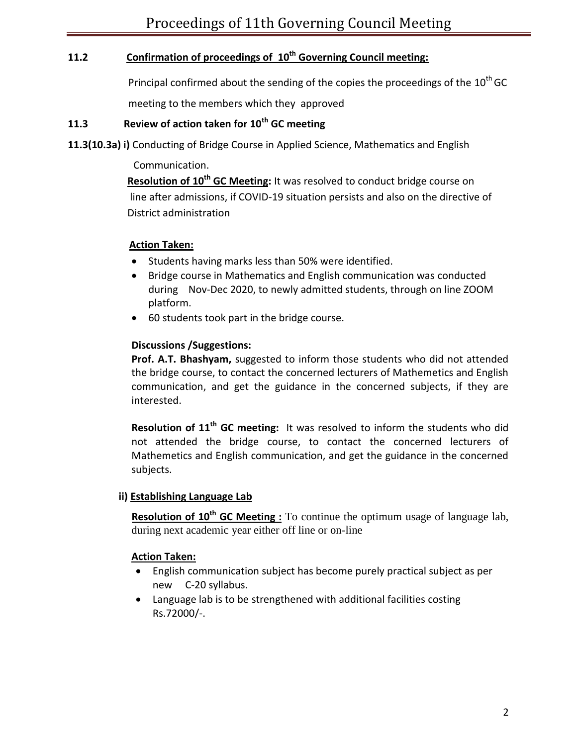## **11.2 Confirmation of proceedings of 10th Governing Council meeting:**

Principal confirmed about the sending of the copies the proceedings of the  $10^{th}$  GC meeting to the members which they approved

## **11.3 Review of action taken for 10th GC meeting**

**11.3(10.3a) i)** Conducting of Bridge Course in Applied Science, Mathematics and English

Communication.

 **Resolution of 10th GC Meeting:** It was resolved to conduct bridge course on line after admissions, if COVID-19 situation persists and also on the directive of District administration

## **Action Taken:**

- Students having marks less than 50% were identified.
- Bridge course in Mathematics and English communication was conducted during Nov-Dec 2020, to newly admitted students, through on line ZOOM platform.
- 60 students took part in the bridge course.

## **Discussions /Suggestions:**

**Prof. A.T. Bhashyam,** suggested to inform those students who did not attended the bridge course, to contact the concerned lecturers of Mathemetics and English communication, and get the guidance in the concerned subjects, if they are interested.

**Resolution of 11 th GC meeting:** It was resolved to inform the students who did not attended the bridge course, to contact the concerned lecturers of Mathemetics and English communication, and get the guidance in the concerned subjects.

#### **ii) Establishing Language Lab**

 **Resolution of 10th GC Meeting :** To continue the optimum usage of language lab, during next academic year either off line or on-line

## **Action Taken:**

- English communication subject has become purely practical subject as per new C-20 syllabus.
- Language lab is to be strengthened with additional facilities costing Rs.72000/-.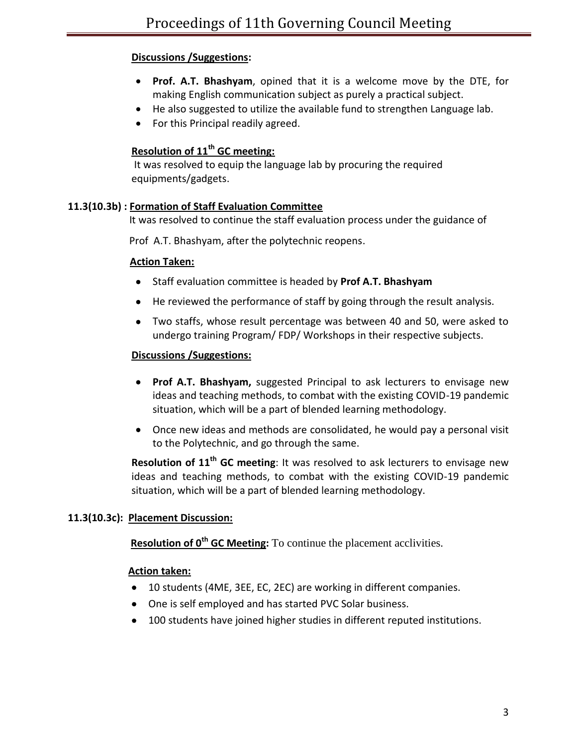### **Discussions /Suggestions:**

- **Prof. A.T. Bhashyam**, opined that it is a welcome move by the DTE, for making English communication subject as purely a practical subject.
- He also suggested to utilize the available fund to strengthen Language lab.
- For this Principal readily agreed.

## **Resolution of 11 th GC meeting:**

It was resolved to equip the language lab by procuring the required equipments/gadgets.

#### **11.3(10.3b) : Formation of Staff Evaluation Committee**

It was resolved to continue the staff evaluation process under the guidance of

Prof A.T. Bhashyam, after the polytechnic reopens.

#### **Action Taken:**

- Staff evaluation committee is headed by **Prof A.T. Bhashyam**
- He reviewed the performance of staff by going through the result analysis.
- Two staffs, whose result percentage was between 40 and 50, were asked to undergo training Program/ FDP/ Workshops in their respective subjects.

#### **Discussions /Suggestions:**

- **Prof A.T. Bhashyam,** suggested Principal to ask lecturers to envisage new ideas and teaching methods, to combat with the existing COVID-19 pandemic situation, which will be a part of blended learning methodology.
- Once new ideas and methods are consolidated, he would pay a personal visit to the Polytechnic, and go through the same.

**Resolution of 11 th GC meeting**: It was resolved to ask lecturers to envisage new ideas and teaching methods, to combat with the existing COVID-19 pandemic situation, which will be a part of blended learning methodology.

## **11.3(10.3c): Placement Discussion:**

**Resolution of 0<sup>th</sup> GC Meeting:** To continue the placement acclivities.

## **Action taken:**

- 10 students (4ME, 3EE, EC, 2EC) are working in different companies.
- One is self employed and has started PVC Solar business.
- 100 students have joined higher studies in different reputed institutions.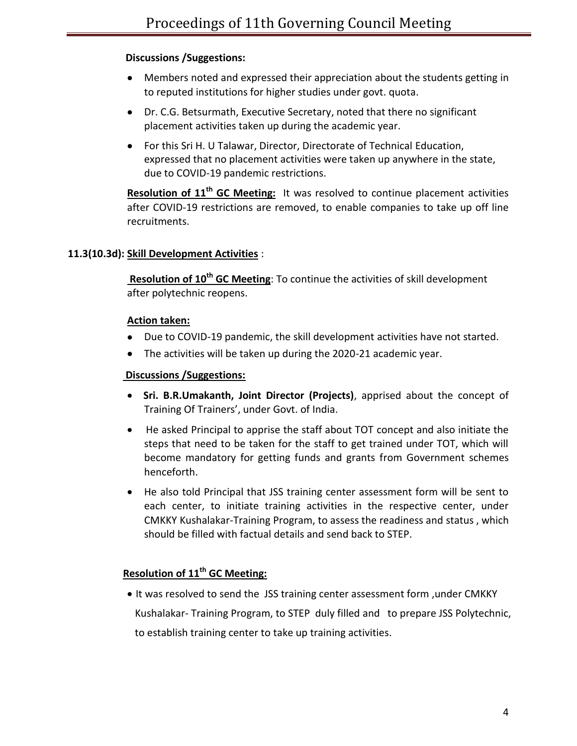#### **Discussions /Suggestions:**

- Members noted and expressed their appreciation about the students getting in to reputed institutions for higher studies under govt. quota.
- Dr. C.G. Betsurmath, Executive Secretary, noted that there no significant placement activities taken up during the academic year.
- For this Sri H. U Talawar, Director, Directorate of Technical Education, expressed that no placement activities were taken up anywhere in the state, due to COVID-19 pandemic restrictions.

**Resolution of 11 th GC Meeting:** It was resolved to continue placement activities after COVID-19 restrictions are removed, to enable companies to take up off line recruitments.

#### **11.3(10.3d): Skill Development Activities** :

**Resolution of 10th GC Meeting**: To continue the activities of skill development after polytechnic reopens.

#### **Action taken:**

- Due to COVID-19 pandemic, the skill development activities have not started.
- The activities will be taken up during the 2020-21 academic year.

#### **Discussions /Suggestions:**

- **Sri. B.R.Umakanth, Joint Director (Projects)**, apprised about the concept of Training Of Trainers', under Govt. of India.
- He asked Principal to apprise the staff about TOT concept and also initiate the steps that need to be taken for the staff to get trained under TOT, which will become mandatory for getting funds and grants from Government schemes henceforth.
- He also told Principal that JSS training center assessment form will be sent to each center, to initiate training activities in the respective center, under CMKKY Kushalakar-Training Program, to assess the readiness and status , which should be filled with factual details and send back to STEP.

## **Resolution of 11 th GC Meeting:**

• It was resolved to send the JSS training center assessment form , under CMKKY Kushalakar- Training Program, to STEP duly filled and to prepare JSS Polytechnic, to establish training center to take up training activities.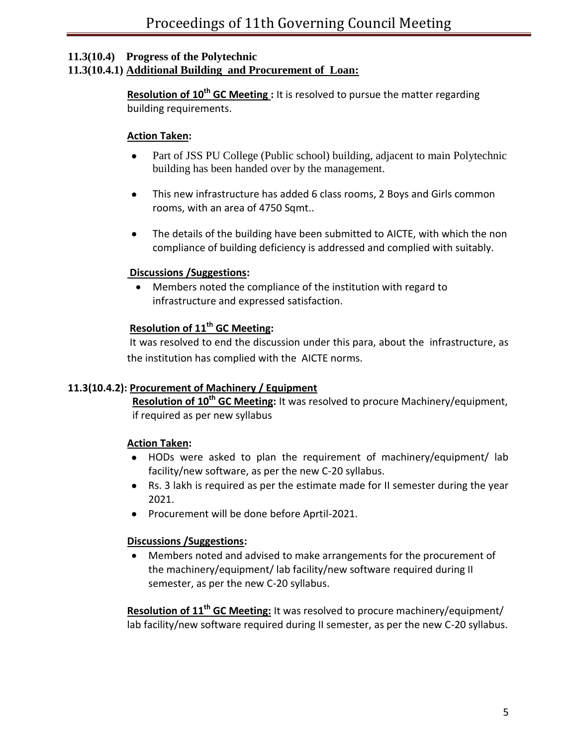## **11.3(10.4) Progress of the Polytechnic**

#### **11.3(10.4.1) Additional Building and Procurement of Loan:**

**Resolution of 10th GC Meeting :** It is resolved to pursue the matter regarding building requirements.

#### **Action Taken:**

- Part of JSS PU College (Public school) building, adjacent to main Polytechnic building has been handed over by the management.
- This new infrastructure has added 6 class rooms, 2 Boys and Girls common rooms, with an area of 4750 Sqmt..
- The details of the building have been submitted to AICTE, with which the non compliance of building deficiency is addressed and complied with suitably.

#### **Discussions /Suggestions:**

 Members noted the compliance of the institution with regard to infrastructure and expressed satisfaction.

## **Resolution of 11 th GC Meeting:**

It was resolved to end the discussion under this para, about the infrastructure, as the institution has complied with the AICTE norms.

#### **11.3(10.4.2): Procurement of Machinery / Equipment**

 **Resolution of 10th GC Meeting:** It was resolved to procure Machinery/equipment, if required as per new syllabus

#### **Action Taken:**

- HODs were asked to plan the requirement of machinery/equipment/ lab facility/new software, as per the new C-20 syllabus.
- Rs. 3 lakh is required as per the estimate made for II semester during the year 2021.
- Procurement will be done before Aprtil-2021.

#### **Discussions /Suggestions:**

 Members noted and advised to make arrangements for the procurement of the machinery/equipment/ lab facility/new software required during II semester, as per the new C-20 syllabus.

**Resolution of 11 th GC Meeting:** It was resolved to procure machinery/equipment/ lab facility/new software required during II semester, as per the new C-20 syllabus.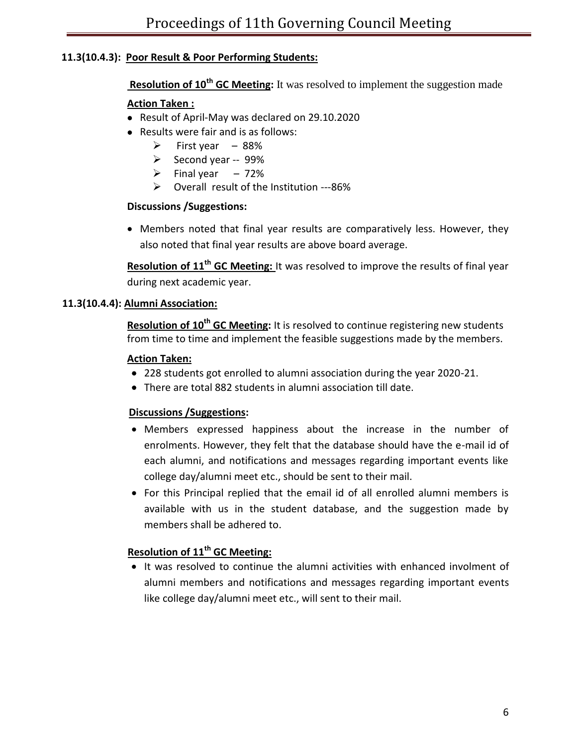## **11.3(10.4.3): Poor Result & Poor Performing Students:**

**Resolution of 10th GC Meeting:** It was resolved to implement the suggestion made

## **Action Taken :**

- Result of April-May was declared on 29.10.2020
- Results were fair and is as follows:
	- $\triangleright$  First year 88%
	- $\triangleright$  Second year -- 99%
	- $\triangleright$  Final year 72%
	- Overall result of the Institution ---86%

#### **Discussions /Suggestions:**

 Members noted that final year results are comparatively less. However, they also noted that final year results are above board average.

**Resolution of 11<sup>th</sup> GC Meeting:** It was resolved to improve the results of final year during next academic year.

#### **11.3(10.4.4): Alumni Association:**

**Resolution of 10th GC Meeting:** It is resolved to continue registering new students from time to time and implement the feasible suggestions made by the members.

#### **Action Taken:**

- 228 students got enrolled to alumni association during the year 2020-21.
- There are total 882 students in alumni association till date.

#### **Discussions /Suggestions:**

- Members expressed happiness about the increase in the number of enrolments. However, they felt that the database should have the e-mail id of each alumni, and notifications and messages regarding important events like college day/alumni meet etc., should be sent to their mail.
- For this Principal replied that the email id of all enrolled alumni members is available with us in the student database, and the suggestion made by members shall be adhered to.

## **Resolution of 11 th GC Meeting:**

 It was resolved to continue the alumni activities with enhanced involment of alumni members and notifications and messages regarding important events like college day/alumni meet etc., will sent to their mail.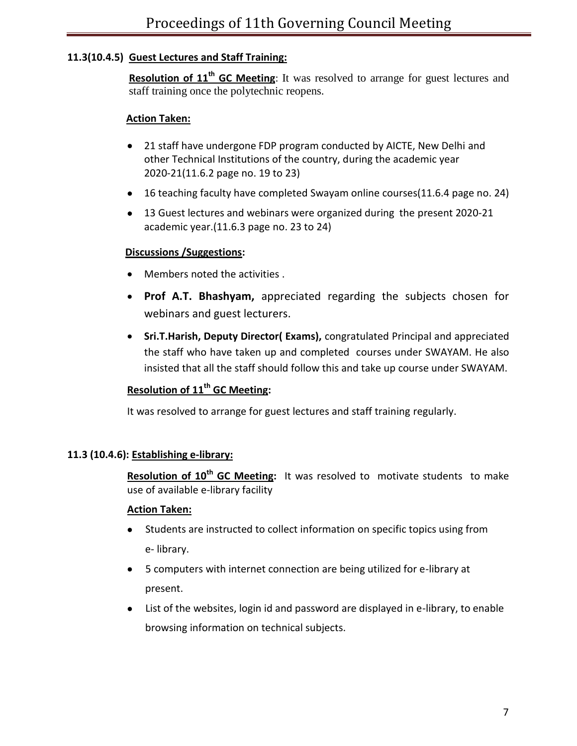### **11.3(10.4.5): Guest Lectures and Staff Training:**

**Resolution of 11<sup>th</sup> GC Meeting**: It was resolved to arrange for guest lectures and staff training once the polytechnic reopens.

#### **Action Taken:**

- 21 staff have undergone FDP program conducted by AICTE, New Delhi and other Technical Institutions of the country, during the academic year 2020-21(11.6.2 page no. 19 to 23)
- 16 teaching faculty have completed Swayam online courses (11.6.4 page no. 24)
- 13 Guest lectures and webinars were organized during the present 2020-21 academic year.(11.6.3 page no. 23 to 24)

#### **Discussions /Suggestions:**

- Members noted the activities.
- **Prof A.T. Bhashyam,** appreciated regarding the subjects chosen for webinars and guest lecturers.
- **Sri.T.Harish, Deputy Director( Exams),** congratulated Principal and appreciated the staff who have taken up and completed courses under SWAYAM. He also insisted that all the staff should follow this and take up course under SWAYAM.

## **Resolution of 11 th GC Meeting:**

It was resolved to arrange for guest lectures and staff training regularly.

#### **11.3 (10.4.6): Establishing e-library:**

**Resolution of 10 th GC Meeting:** It was resolved to motivate students to make use of available e-library facility

#### **Action Taken:**

- Students are instructed to collect information on specific topics using from e- library.
- 5 computers with internet connection are being utilized for e-library at present.
- List of the websites, login id and password are displayed in e-library, to enable browsing information on technical subjects.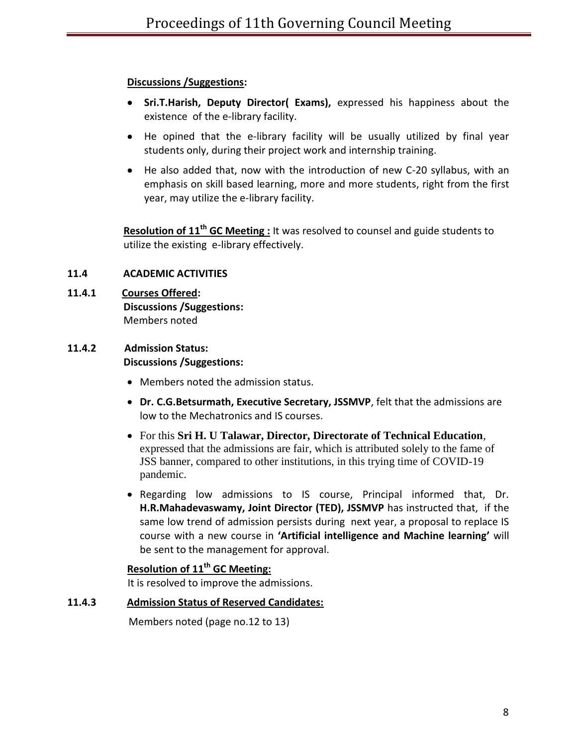#### **Discussions /Suggestions:**

- **Sri.T.Harish, Deputy Director( Exams),** expressed his happiness about the existence of the e-library facility.
- He opined that the e-library facility will be usually utilized by final year students only, during their project work and internship training.
- He also added that, now with the introduction of new C-20 syllabus, with an emphasis on skill based learning, more and more students, right from the first year, may utilize the e-library facility.

**Resolution of 11<sup>th</sup> GC Meeting :** It was resolved to counsel and guide students to utilize the existing e-library effectively.

#### **11.4 ACADEMIC ACTIVITIES**

**11.4.1 Courses Offered: Discussions /Suggestions:** Members noted

## **11.4.2 Admission Status: Discussions /Suggestions:**

- Members noted the admission status.
- **Dr. C.G.Betsurmath, Executive Secretary, JSSMVP**, felt that the admissions are low to the Mechatronics and IS courses.
- For this **Sri H. U Talawar, Director, Directorate of Technical Education**, expressed that the admissions are fair, which is attributed solely to the fame of JSS banner, compared to other institutions, in this trying time of COVID-19 pandemic.
- Regarding low admissions to IS course, Principal informed that, Dr. **H.R.Mahadevaswamy, Joint Director (TED), JSSMVP** has instructed that, if the same low trend of admission persists during next year, a proposal to replace IS course with a new course in **'Artificial intelligence and Machine learning'** will be sent to the management for approval.

## **Resolution of 11 th GC Meeting:**

It is resolved to improve the admissions.

#### **11.4.3 Admission Status of Reserved Candidates:**

Members noted (page no.12 to 13)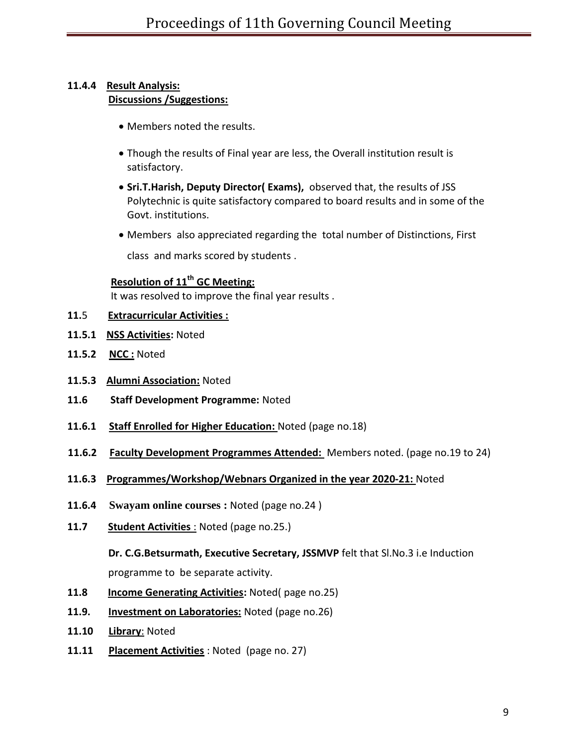#### **11.4.4 Result Analysis: Discussions /Suggestions:**

- Members noted the results.
- Though the results of Final year are less, the Overall institution result is satisfactory.
- **Sri.T.Harish, Deputy Director( Exams),** observed that, the results of JSS Polytechnic is quite satisfactory compared to board results and in some of the Govt. institutions.
- Members also appreciated regarding the total number of Distinctions, First class and marks scored by students .

## **Resolution of 11 th GC Meeting:**

It was resolved to improve the final year results .

#### **11.**5 **Extracurricular Activities :**

- **11.5.1 NSS Activities:** Noted
- **11.5.2 NCC :** Noted
- **11.5.3 Alumni Association:** Noted
- **11.6 Staff Development Programme:** Noted
- 11.6.1 Staff Enrolled for Higher Education: Noted (page no.18)
- **11.6.2 Faculty Development Programmes Attended:** Members noted. (page no.19 to 24)
- **11.6.3 Programmes/Workshop/Webnars Organized in the year 2020-21:** Noted
- **11.6.4 Swayam online courses :** Noted (page no.24 )
- **11.7 Student Activities** : Noted (page no.25.)

#### **Dr. C.G.Betsurmath, Executive Secretary, JSSMVP** felt that Sl.No.3 i.e Induction

programme to be separate activity.

- **11.8 Income Generating Activities:** Noted( page no.25)
- **11.9. Investment on Laboratories:** Noted (page no.26)
- **11.10 Library**: Noted
- **11.11 Placement Activities** : Noted (page no. 27)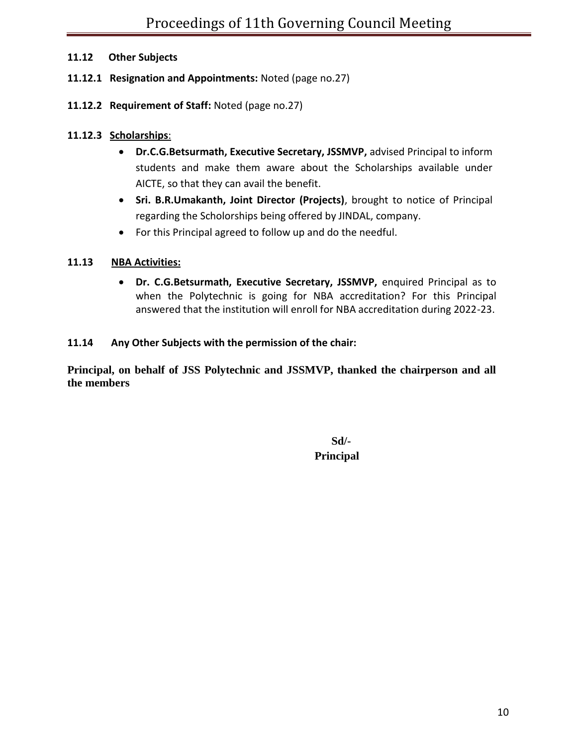#### **11.12 Other Subjects**

**11.12.1 Resignation and Appointments:** Noted (page no.27)

#### **11.12.2 Requirement of Staff:** Noted (page no.27)

#### **11.12.3 Scholarships**:

- **Dr.C.G.Betsurmath, Executive Secretary, JSSMVP,** advised Principal to inform students and make them aware about the Scholarships available under AICTE, so that they can avail the benefit.
- **Sri. B.R.Umakanth, Joint Director (Projects)**, brought to notice of Principal regarding the Scholorships being offered by JINDAL, company.
- For this Principal agreed to follow up and do the needful.

#### **11.13 NBA Activities:**

 **Dr. C.G.Betsurmath, Executive Secretary, JSSMVP,** enquired Principal as to when the Polytechnic is going for NBA accreditation? For this Principal answered that the institution will enroll for NBA accreditation during 2022-23.

#### **11.14 Any Other Subjects with the permission of the chair:**

**Principal, on behalf of JSS Polytechnic and JSSMVP, thanked the chairperson and all the members** 

> **Sd/- Principal**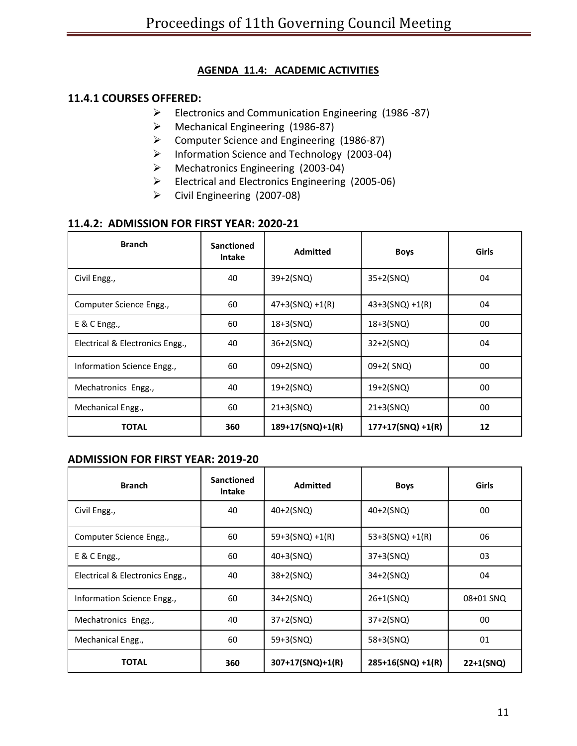## **AGENDA 11.4: ACADEMIC ACTIVITIES**

#### **11.4.1 COURSES OFFERED:**

- Electronics and Communication Engineering (1986 -87)
- Mechanical Engineering (1986-87)
- Computer Science and Engineering (1986-87)
- Information Science and Technology (2003-04)
- Mechatronics Engineering (2003-04)
- $\triangleright$  Electrical and Electronics Engineering (2005-06)
- Civil Engineering (2007-08)

#### **11.4.2: ADMISSION FOR FIRST YEAR: 2020-21**

| <b>Branch</b>                   | <b>Sanctioned</b><br><b>Intake</b> | <b>Admitted</b>    | <b>Boys</b>          | Girls |
|---------------------------------|------------------------------------|--------------------|----------------------|-------|
| Civil Engg.,                    | 40                                 | $39+2(SNQ)$        | $35+2(SNQ)$          | 04    |
| Computer Science Engg.,         | 60                                 | $47+3(SNQ) + 1(R)$ | $43+3(SNQ) + 1(R)$   | 04    |
| $E$ & C Engg.,                  | 60                                 | 18+3(SNQ)          | 18+3(SNQ)            | 00    |
| Electrical & Electronics Engg., | 40                                 | $36+2(SNQ)$        | $32 + 2(SNQ)$        | 04    |
| Information Science Engg.,      | 60                                 | 09+2(SNQ)          | 09+2(SNQ)            | 00    |
| Mechatronics Engg.,             | 40                                 | $19+2(SNQ)$        | $19+2(SNQ)$          | 00    |
| Mechanical Engg.,               | 60                                 | $21+3(SNQ)$        | $21+3(SNQ)$          | 00    |
| <b>TOTAL</b>                    | 360                                | 189+17(SNQ)+1(R)   | $177+17(SNQ) + 1(R)$ | 12    |

#### **ADMISSION FOR FIRST YEAR: 2019-20**

| <b>Branch</b>                   | <b>Sanctioned</b><br><b>Intake</b> | <b>Admitted</b>    | <b>Boys</b>          | Girls     |
|---------------------------------|------------------------------------|--------------------|----------------------|-----------|
| Civil Engg.,                    | 40                                 | $40+2(SNQ)$        | $40+2(SNQ)$          | 00        |
| Computer Science Engg.,         | 60                                 | $59+3(SNQ) + 1(R)$ | $53+3(SNQ) + 1(R)$   | 06        |
| E & C Engg.,                    | 60                                 | $40+3(SNQ)$        | $37+3(SNQ)$          | 03        |
| Electrical & Electronics Engg., | 40                                 | $38 + 2(SNQ)$      | $34 + 2(SNQ)$        | 04        |
| Information Science Engg.,      | 60                                 | $34 + 2(SNQ)$      | $26+1$ (SNQ)         | 08+01 SNQ |
| Mechatronics Engg.,             | 40                                 | $37+2(SNQ)$        | $37+2(SNQ)$          | 00        |
| Mechanical Engg.,               | 60                                 | $59+3(SNQ)$        | $58+3(SNQ)$          | 01        |
| <b>TOTAL</b>                    | 360                                | 307+17(SNQ)+1(R)   | $285+16(SNQ) + 1(R)$ | 22+1(SNQ) |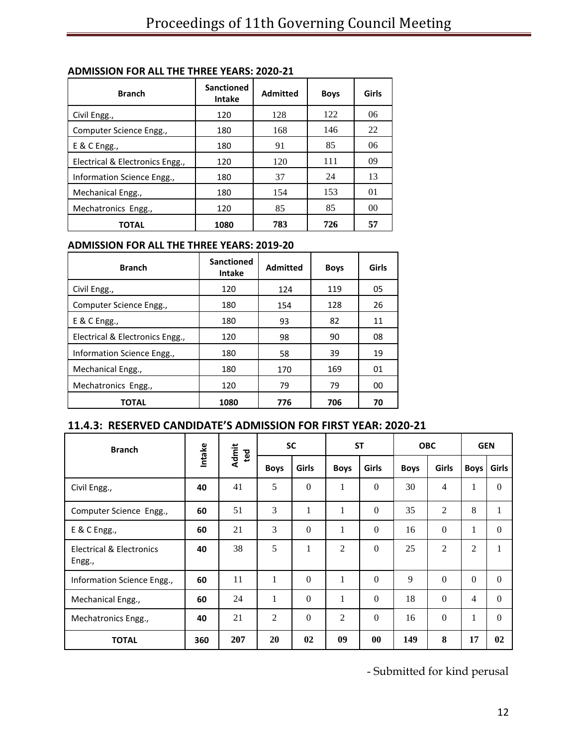#### **ADMISSION FOR ALL THE THREE YEARS: 2020-21**

| <b>Branch</b>                   | <b>Sanctioned</b><br><b>Intake</b> | <b>Admitted</b> | <b>Boys</b> | Girls          |
|---------------------------------|------------------------------------|-----------------|-------------|----------------|
| Civil Engg.,                    | 120                                | 128             | 122         | 06             |
| Computer Science Engg.,         | 180                                | 168             | 146         | 22             |
| E & C Engg.,                    | 180                                | 91              | 85          | 06             |
| Electrical & Electronics Engg., | 120                                | 120             | 111         | 09             |
| Information Science Engg.,      | 180                                | 37              | 24          | 13             |
| Mechanical Engg.,               | 180                                | 154             | 153         | 01             |
| Mechatronics Engg.,             | 120                                | 85              | 85          | 0 <sup>0</sup> |
| TOTAL                           | 1080                               | 783             | 726         | 57             |

#### **ADMISSION FOR ALL THE THREE YEARS: 2019-20**

| <b>Branch</b>                   | <b>Sanctioned</b><br><b>Intake</b> | <b>Admitted</b> | <b>Boys</b> | Girls |
|---------------------------------|------------------------------------|-----------------|-------------|-------|
| Civil Engg.,                    | 120                                | 124             | 119         | 05    |
| Computer Science Engg.,         | 180                                | 154             | 128         | 26    |
| E & C Engg.,                    | 180                                | 93              | 82          | 11    |
| Electrical & Electronics Engg., | 120                                | 98              | 90          | 08    |
| Information Science Engg.,      | 180                                | 58              | 39          | 19    |
| Mechanical Engg.,               | 180                                | 170             | 169         | 01    |
| Mechatronics Engg.,             | 120                                | 79              | 79          | 00    |
| TOTAL                           | 1080                               | 776             | 706         | 70    |

## **11.4.3: RESERVED CANDIDATE'S ADMISSION FOR FIRST YEAR: 2020-21**

| <b>Branch</b>                                 | Intake | <b>SC</b><br>Admit<br>ted |             |              |                | <b>ST</b>        | <b>OBC</b>  |                | <b>GEN</b>     |              |
|-----------------------------------------------|--------|---------------------------|-------------|--------------|----------------|------------------|-------------|----------------|----------------|--------------|
|                                               |        |                           | <b>Boys</b> | <b>Girls</b> | <b>Boys</b>    | Girls            | <b>Boys</b> | Girls          | <b>Boys</b>    | <b>Girls</b> |
| Civil Engg.,                                  | 40     | 41                        | 5           | $\Omega$     | 1              | $\Omega$         | 30          | 4              | $\mathbf{1}$   | $\Omega$     |
| Computer Science Engg.,                       | 60     | 51                        | 3           | 1            | $\mathbf{1}$   | $\boldsymbol{0}$ | 35          | $\overline{2}$ | 8              | 1            |
| E & C Engg.,                                  | 60     | 21                        | 3           | $\Omega$     | 1              | $\Omega$         | 16          | $\Omega$       | $\mathbf{1}$   | $\Omega$     |
| <b>Electrical &amp; Electronics</b><br>Engg., | 40     | 38                        | 5           | $\mathbf{1}$ | $\mathfrak{2}$ | $\mathbf{0}$     | 25          | 2              | $\overline{2}$ | 1            |
| Information Science Engg.,                    | 60     | 11                        | 1           | $\Omega$     | 1              | $\Omega$         | 9           | $\Omega$       | $\Omega$       | $\Omega$     |
| Mechanical Engg.,                             | 60     | 24                        | 1           | $\Omega$     | 1              | $\overline{0}$   | 18          | $\Omega$       | 4              | $\Omega$     |
| Mechatronics Engg.,                           | 40     | 21                        | 2           | $\Omega$     | $\overline{2}$ | $\mathbf{0}$     | 16          | $\mathbf{0}$   | 1              | $\Omega$     |
| <b>TOTAL</b>                                  | 360    | 207                       | 20          | 02           | 09             | $\bf{00}$        | 149         | 8              | 17             | 02           |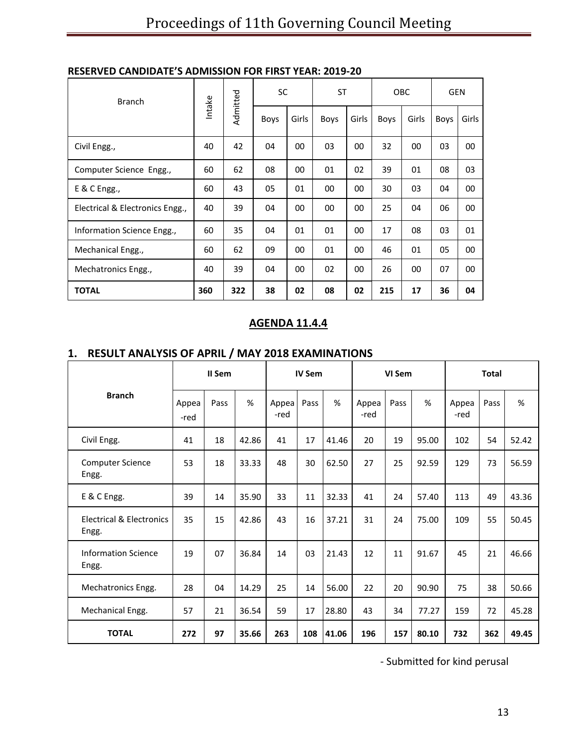| <b>Branch</b>                   |        |          | SC   |       | ST   |       | <b>OBC</b> |       | <b>GEN</b>  |       |
|---------------------------------|--------|----------|------|-------|------|-------|------------|-------|-------------|-------|
|                                 | Intake | Admitted | Boys | Girls | Boys | Girls | Boys       | Girls | <b>Boys</b> | Girls |
| Civil Engg.,                    | 40     | 42       | 04   | 00    | 03   | 00    | 32         | 00    | 03          | 00    |
| Computer Science Engg.,         | 60     | 62       | 08   | 00    | 01   | 02    | 39         | 01    | 08          | 03    |
| E & C Engg.,                    | 60     | 43       | 05   | 01    | 00   | 00    | 30         | 03    | 04          | 00    |
| Electrical & Electronics Engg., | 40     | 39       | 04   | 00    | 00   | 00    | 25         | 04    | 06          | 00    |
| Information Science Engg.,      | 60     | 35       | 04   | 01    | 01   | 00    | 17         | 08    | 03          | 01    |
| Mechanical Engg.,               | 60     | 62       | 09   | 00    | 01   | 00    | 46         | 01    | 05          | 00    |
| Mechatronics Engg.,             | 40     | 39       | 04   | 00    | 02   | 00    | 26         | 00    | 07          | 00    |
| <b>TOTAL</b>                    | 360    | 322      | 38   | 02    | 08   | 02    | 215        | 17    | 36          | 04    |

## **RESERVED CANDIDATE'S ADMISSION FOR FIRST YEAR: 2019-20**

#### **AGENDA 11.4.4**

## **1. RESULT ANALYSIS OF APRIL / MAY 2018 EXAMINATIONS**

|                                              | II Sem        |      |       |               | IV Sem |       |               | VI Sem |       |               | <b>Total</b> |       |  |
|----------------------------------------------|---------------|------|-------|---------------|--------|-------|---------------|--------|-------|---------------|--------------|-------|--|
| <b>Branch</b>                                | Appea<br>-red | Pass | %     | Appea<br>-red | Pass   | %     | Appea<br>-red | Pass   | %     | Appea<br>-red | Pass         | %     |  |
| Civil Engg.                                  | 41            | 18   | 42.86 | 41            | 17     | 41.46 | 20            | 19     | 95.00 | 102           | 54           | 52.42 |  |
| Computer Science<br>Engg.                    | 53            | 18   | 33.33 | 48            | 30     | 62.50 | 27            | 25     | 92.59 | 129           | 73           | 56.59 |  |
| E & C Engg.                                  | 39            | 14   | 35.90 | 33            | 11     | 32.33 | 41            | 24     | 57.40 | 113           | 49           | 43.36 |  |
| <b>Electrical &amp; Electronics</b><br>Engg. | 35            | 15   | 42.86 | 43            | 16     | 37.21 | 31            | 24     | 75.00 | 109           | 55           | 50.45 |  |
| Information Science<br>Engg.                 | 19            | 07   | 36.84 | 14            | 03     | 21.43 | 12            | 11     | 91.67 | 45            | 21           | 46.66 |  |
| Mechatronics Engg.                           | 28            | 04   | 14.29 | 25            | 14     | 56.00 | 22            | 20     | 90.90 | 75            | 38           | 50.66 |  |
| Mechanical Engg.                             | 57            | 21   | 36.54 | 59            | 17     | 28.80 | 43            | 34     | 77.27 | 159           | 72           | 45.28 |  |
| <b>TOTAL</b>                                 | 272           | 97   | 35.66 | 263           | 108    | 41.06 | 196           | 157    | 80.10 | 732           | 362          | 49.45 |  |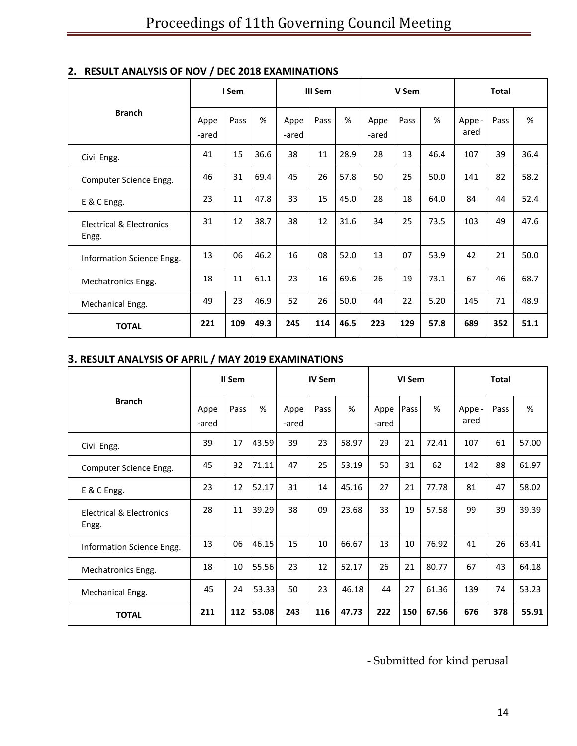|                                              | I Sem         |      |      | III Sem       |      |      | V Sem         |      |      | <b>Total</b>   |      |      |
|----------------------------------------------|---------------|------|------|---------------|------|------|---------------|------|------|----------------|------|------|
| <b>Branch</b>                                | Appe<br>-ared | Pass | %    | Appe<br>-ared | Pass | %    | Appe<br>-ared | Pass | %    | Appe -<br>ared | Pass | %    |
| Civil Engg.                                  | 41            | 15   | 36.6 | 38            | 11   | 28.9 | 28            | 13   | 46.4 | 107            | 39   | 36.4 |
| Computer Science Engg.                       | 46            | 31   | 69.4 | 45            | 26   | 57.8 | 50            | 25   | 50.0 | 141            | 82   | 58.2 |
| E & C Engg.                                  | 23            | 11   | 47.8 | 33            | 15   | 45.0 | 28            | 18   | 64.0 | 84             | 44   | 52.4 |
| <b>Electrical &amp; Electronics</b><br>Engg. | 31            | 12   | 38.7 | 38            | 12   | 31.6 | 34            | 25   | 73.5 | 103            | 49   | 47.6 |
| Information Science Engg.                    | 13            | 06   | 46.2 | 16            | 08   | 52.0 | 13            | 07   | 53.9 | 42             | 21   | 50.0 |
| Mechatronics Engg.                           | 18            | 11   | 61.1 | 23            | 16   | 69.6 | 26            | 19   | 73.1 | 67             | 46   | 68.7 |
| Mechanical Engg.                             | 49            | 23   | 46.9 | 52            | 26   | 50.0 | 44            | 22   | 5.20 | 145            | 71   | 48.9 |
| <b>TOTAL</b>                                 | 221           | 109  | 49.3 | 245           | 114  | 46.5 | 223           | 129  | 57.8 | 689            | 352  | 51.1 |

## **2. RESULT ANALYSIS OF NOV / DEC 2018 EXAMINATIONS**

## **3. RESULT ANALYSIS OF APRIL / MAY 2019 EXAMINATIONS**

|                                              | II Sem        |      |       | <b>IV Sem</b> |      |       | VI Sem        |      |       | <b>Total</b>   |      |       |
|----------------------------------------------|---------------|------|-------|---------------|------|-------|---------------|------|-------|----------------|------|-------|
| <b>Branch</b>                                | Appe<br>-ared | Pass | %     | Appe<br>-ared | Pass | %     | Appe<br>-ared | Pass | %     | Appe -<br>ared | Pass | %     |
| Civil Engg.                                  | 39            | 17   | 43.59 | 39            | 23   | 58.97 | 29            | 21   | 72.41 | 107            | 61   | 57.00 |
| Computer Science Engg.                       | 45            | 32   | 71.11 | 47            | 25   | 53.19 | 50            | 31   | 62    | 142            | 88   | 61.97 |
| E & C Engg.                                  | 23            | 12   | 52.17 | 31            | 14   | 45.16 | 27            | 21   | 77.78 | 81             | 47   | 58.02 |
| <b>Electrical &amp; Electronics</b><br>Engg. | 28            | 11   | 39.29 | 38            | 09   | 23.68 | 33            | 19   | 57.58 | 99             | 39   | 39.39 |
| Information Science Engg.                    | 13            | 06   | 46.15 | 15            | 10   | 66.67 | 13            | 10   | 76.92 | 41             | 26   | 63.41 |
| Mechatronics Engg.                           | 18            | 10   | 55.56 | 23            | 12   | 52.17 | 26            | 21   | 80.77 | 67             | 43   | 64.18 |
| Mechanical Engg.                             | 45            | 24   | 53.33 | 50            | 23   | 46.18 | 44            | 27   | 61.36 | 139            | 74   | 53.23 |
| <b>TOTAL</b>                                 | 211           | 112  | 53.08 | 243           | 116  | 47.73 | 222           | 150  | 67.56 | 676            | 378  | 55.91 |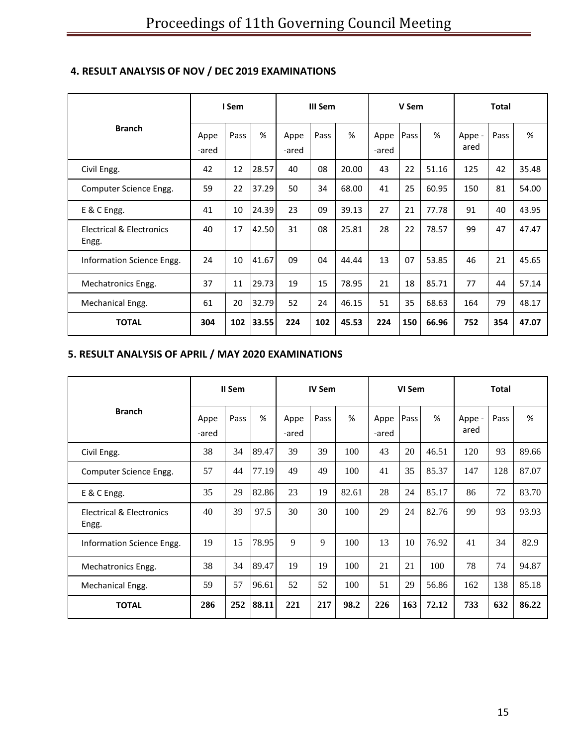|                                              | I Sem         |      |       | III Sem       |      |       | V Sem         |      |       | <b>Total</b>   |      |       |
|----------------------------------------------|---------------|------|-------|---------------|------|-------|---------------|------|-------|----------------|------|-------|
| <b>Branch</b>                                | Appe<br>-ared | Pass | %     | Appe<br>-ared | Pass | %     | Appe<br>-ared | Pass | %     | Appe -<br>ared | Pass | %     |
| Civil Engg.                                  | 42            | 12   | 28.57 | 40            | 08   | 20.00 | 43            | 22   | 51.16 | 125            | 42   | 35.48 |
| Computer Science Engg.                       | 59            | 22   | 37.29 | 50            | 34   | 68.00 | 41            | 25   | 60.95 | 150            | 81   | 54.00 |
| E & C Engg.                                  | 41            | 10   | 24.39 | 23            | 09   | 39.13 | 27            | 21   | 77.78 | 91             | 40   | 43.95 |
| <b>Electrical &amp; Electronics</b><br>Engg. | 40            | 17   | 42.50 | 31            | 08   | 25.81 | 28            | 22   | 78.57 | 99             | 47   | 47.47 |
| Information Science Engg.                    | 24            | 10   | 41.67 | 09            | 04   | 44.44 | 13            | 07   | 53.85 | 46             | 21   | 45.65 |
| Mechatronics Engg.                           | 37            | 11   | 29.73 | 19            | 15   | 78.95 | 21            | 18   | 85.71 | 77             | 44   | 57.14 |
| Mechanical Engg.                             | 61            | 20   | 32.79 | 52            | 24   | 46.15 | 51            | 35   | 68.63 | 164            | 79   | 48.17 |
| <b>TOTAL</b>                                 | 304           | 102  | 33.55 | 224           | 102  | 45.53 | 224           | 150  | 66.96 | 752            | 354  | 47.07 |

## **4. RESULT ANALYSIS OF NOV / DEC 2019 EXAMINATIONS**

## **5. RESULT ANALYSIS OF APRIL / MAY 2020 EXAMINATIONS**

|                                              | II Sem        |      |       | <b>IV Sem</b> |      |       | VI Sem        |      |       | <b>Total</b>   |      |       |
|----------------------------------------------|---------------|------|-------|---------------|------|-------|---------------|------|-------|----------------|------|-------|
| <b>Branch</b>                                | Appe<br>-ared | Pass | %     | Appe<br>-ared | Pass | %     | Appe<br>-ared | Pass | $\%$  | Appe -<br>ared | Pass | %     |
| Civil Engg.                                  | 38            | 34   | 89.47 | 39            | 39   | 100   | 43            | 20   | 46.51 | 120            | 93   | 89.66 |
| Computer Science Engg.                       | 57            | 44   | 77.19 | 49            | 49   | 100   | 41            | 35   | 85.37 | 147            | 128  | 87.07 |
| E & C Engg.                                  | 35            | 29   | 82.86 | 23            | 19   | 82.61 | 28            | 24   | 85.17 | 86             | 72   | 83.70 |
| <b>Electrical &amp; Electronics</b><br>Engg. | 40            | 39   | 97.5  | 30            | 30   | 100   | 29            | 24   | 82.76 | 99             | 93   | 93.93 |
| Information Science Engg.                    | 19            | 15   | 78.95 | 9             | 9    | 100   | 13            | 10   | 76.92 | 41             | 34   | 82.9  |
| Mechatronics Engg.                           | 38            | 34   | 89.47 | 19            | 19   | 100   | 21            | 21   | 100   | 78             | 74   | 94.87 |
| Mechanical Engg.                             | 59            | 57   | 96.61 | 52            | 52   | 100   | 51            | 29   | 56.86 | 162            | 138  | 85.18 |
| <b>TOTAL</b>                                 | 286           | 252  | 88.11 | 221           | 217  | 98.2  | 226           | 163  | 72.12 | 733            | 632  | 86.22 |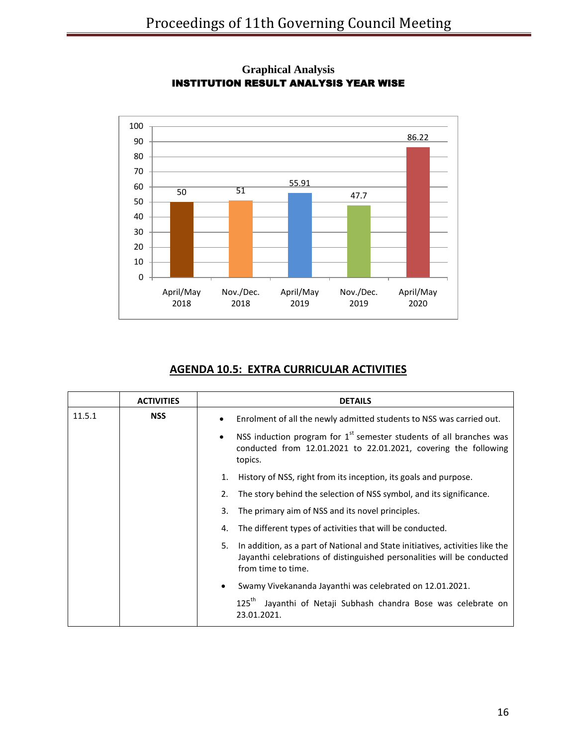

## **Graphical Analysis** INSTITUTION RESULT ANALYSIS YEAR WISE

## **AGENDA 10.5: EXTRA CURRICULAR ACTIVITIES**

|        | <b>ACTIVITIES</b> | <b>DETAILS</b>                                                                                                                                                                      |
|--------|-------------------|-------------------------------------------------------------------------------------------------------------------------------------------------------------------------------------|
| 11.5.1 | <b>NSS</b>        | Enrolment of all the newly admitted students to NSS was carried out.                                                                                                                |
|        |                   | NSS induction program for $1st$ semester students of all branches was<br>conducted from 12.01.2021 to 22.01.2021, covering the following<br>topics.                                 |
|        |                   | History of NSS, right from its inception, its goals and purpose.<br>1.                                                                                                              |
|        |                   | 2.<br>The story behind the selection of NSS symbol, and its significance.                                                                                                           |
|        |                   | 3.<br>The primary aim of NSS and its novel principles.                                                                                                                              |
|        |                   | The different types of activities that will be conducted.<br>4.                                                                                                                     |
|        |                   | 5.<br>In addition, as a part of National and State initiatives, activities like the<br>Jayanthi celebrations of distinguished personalities will be conducted<br>from time to time. |
|        |                   | Swamy Vivekananda Jayanthi was celebrated on 12.01.2021.                                                                                                                            |
|        |                   | $125^{\text{th}}$<br>Jayanthi of Netaji Subhash chandra Bose was celebrate on<br>23.01.2021.                                                                                        |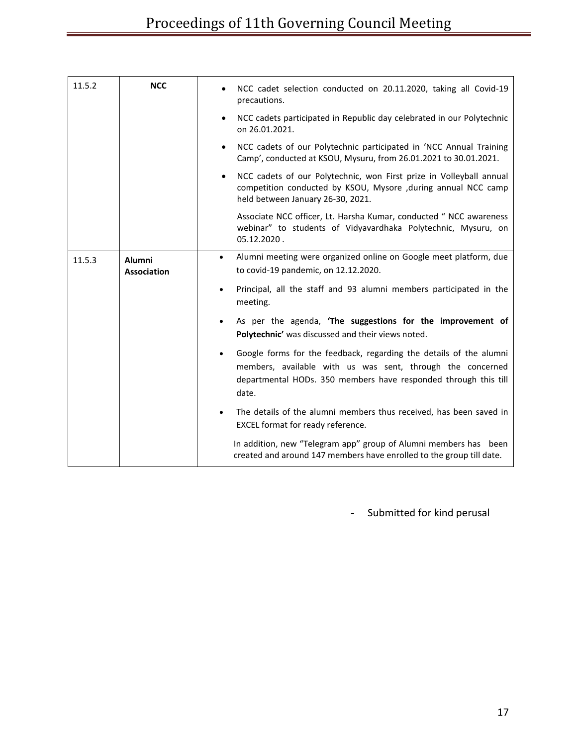| 11.5.2 | <b>NCC</b>                   | NCC cadet selection conducted on 20.11.2020, taking all Covid-19<br>precautions.                                                                                                                                          |
|--------|------------------------------|---------------------------------------------------------------------------------------------------------------------------------------------------------------------------------------------------------------------------|
|        |                              | NCC cadets participated in Republic day celebrated in our Polytechnic<br>on 26.01.2021.                                                                                                                                   |
|        |                              | NCC cadets of our Polytechnic participated in 'NCC Annual Training<br>$\bullet$<br>Camp', conducted at KSOU, Mysuru, from 26.01.2021 to 30.01.2021.                                                                       |
|        |                              | NCC cadets of our Polytechnic, won First prize in Volleyball annual<br>competition conducted by KSOU, Mysore ,during annual NCC camp<br>held between January 26-30, 2021.                                                 |
|        |                              | Associate NCC officer, Lt. Harsha Kumar, conducted "NCC awareness<br>webinar" to students of Vidyavardhaka Polytechnic, Mysuru, on<br>05.12.2020.                                                                         |
| 11.5.3 | Alumni<br><b>Association</b> | Alumni meeting were organized online on Google meet platform, due<br>to covid-19 pandemic, on 12.12.2020.                                                                                                                 |
|        |                              | Principal, all the staff and 93 alumni members participated in the<br>meeting.                                                                                                                                            |
|        |                              | As per the agenda, 'The suggestions for the improvement of<br>Polytechnic' was discussed and their views noted.                                                                                                           |
|        |                              | Google forms for the feedback, regarding the details of the alumni<br>$\bullet$<br>members, available with us was sent, through the concerned<br>departmental HODs. 350 members have responded through this till<br>date. |
|        |                              | The details of the alumni members thus received, has been saved in<br>EXCEL format for ready reference.                                                                                                                   |
|        |                              | In addition, new "Telegram app" group of Alumni members has been<br>created and around 147 members have enrolled to the group till date.                                                                                  |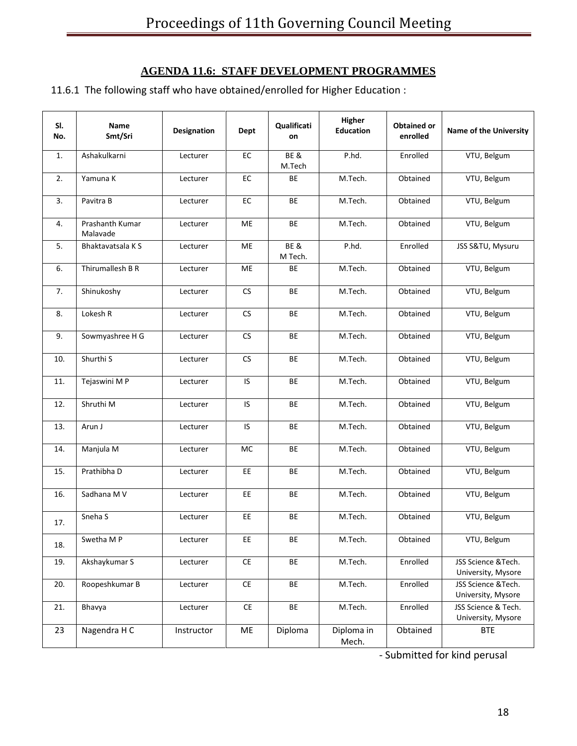## **AGENDA 11.6: STAFF DEVELOPMENT PROGRAMMES**

11.6.1 The following staff who have obtained/enrolled for Higher Education :

| SI.<br>No. | <b>Name</b><br>Smt/Sri      | <b>Designation</b> | <b>Dept</b>                  | Qualificati<br>on | Higher<br><b>Education</b> | <b>Obtained or</b><br>enrolled | <b>Name of the University</b>             |
|------------|-----------------------------|--------------------|------------------------------|-------------------|----------------------------|--------------------------------|-------------------------------------------|
| 1.         | Ashakulkarni                | Lecturer           | EC                           | BE&<br>M.Tech     | P.hd.                      | Enrolled                       | VTU, Belgum                               |
| 2.         | Yamuna K                    | Lecturer           | EC                           | BE                | M.Tech.                    | Obtained                       | VTU, Belgum                               |
| 3.         | Pavitra B                   | Lecturer           | EC                           | <b>BE</b>         | M.Tech.                    | Obtained                       | VTU, Belgum                               |
| 4.         | Prashanth Kumar<br>Malavade | Lecturer           | ME                           | BE                | M.Tech.                    | Obtained                       | VTU, Belgum                               |
| 5.         | Bhaktavatsala K S           | Lecturer           | ME                           | BE&<br>M Tech.    | P.hd.                      | Enrolled                       | JSS S&TU, Mysuru                          |
| 6.         | Thirumallesh B R            | Lecturer           | <b>ME</b>                    | ВE                | M.Tech.                    | Obtained                       | VTU, Belgum                               |
| 7.         | Shinukoshy                  | Lecturer           | CS                           | BE                | M.Tech.                    | Obtained                       | VTU, Belgum                               |
| 8.         | Lokesh R                    | Lecturer           | CS                           | BE                | M.Tech.                    | Obtained                       | VTU, Belgum                               |
| 9.         | Sowmyashree H G             | Lecturer           | CS                           | BE                | M.Tech.                    | Obtained                       | VTU, Belgum                               |
| 10.        | Shurthi S                   | Lecturer           | CS                           | BE                | M.Tech.                    | Obtained                       | VTU, Belgum                               |
| 11.        | Tejaswini M P               | Lecturer           | IS                           | BE                | M.Tech.                    | Obtained                       | VTU, Belgum                               |
| 12.        | Shruthi M                   | Lecturer           | IS                           | BE                | M.Tech.                    | Obtained                       | VTU, Belgum                               |
| 13.        | Arun J                      | Lecturer           | IS                           | ВE                | M.Tech.                    | Obtained                       | VTU, Belgum                               |
| 14.        | Manjula M                   | Lecturer           | МC                           | ВE                | M.Tech.                    | Obtained                       | VTU, Belgum                               |
| 15.        | Prathibha D                 | Lecturer           | EE                           | ВE                | M.Tech.                    | Obtained                       | VTU, Belgum                               |
| 16.        | Sadhana M V                 | Lecturer           | EE                           | ВE                | M.Tech.                    | Obtained                       | VTU, Belgum                               |
| 17.        | Sneha <sub>S</sub>          | Lecturer           | EE                           | BE                | M.Tech.                    | Obtained                       | VTU, Belgum                               |
| 18.        | Swetha M P                  | Lecturer           | EE                           | BE                | M.Tech.                    | Obtained                       | VTU, Belgum                               |
| 19.        | Akshaykumar S               | Lecturer           | $\mathsf{CE}\hspace{0.05cm}$ | BE                | M.Tech.                    | Enrolled                       | JSS Science & Tech.<br>University, Mysore |
| 20.        | Roopeshkumar B              | Lecturer           | CE                           | BE                | M.Tech.                    | Enrolled                       | JSS Science & Tech.<br>University, Mysore |
| 21.        | Bhavya                      | Lecturer           | CE                           | BE                | M.Tech.                    | Enrolled                       | JSS Science & Tech.<br>University, Mysore |
| 23         | Nagendra H C                | Instructor         | ME                           | Diploma           | Diploma in<br>Mech.        | Obtained                       | <b>BTE</b>                                |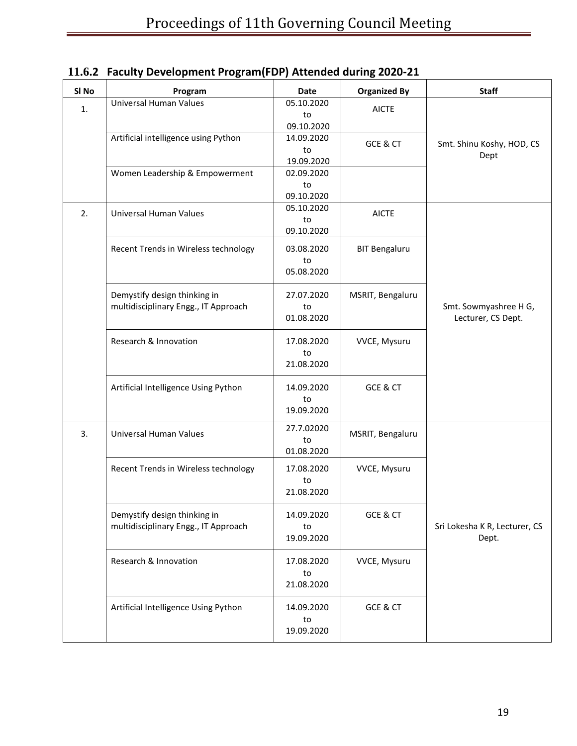| SI <sub>No</sub> | Program                                                              | Date                           | <b>Organized By</b>  | <b>Staff</b>                                |
|------------------|----------------------------------------------------------------------|--------------------------------|----------------------|---------------------------------------------|
| 1.               | Universal Human Values                                               | 05.10.2020<br>to<br>09.10.2020 | <b>AICTE</b>         |                                             |
|                  | Artificial intelligence using Python                                 | 14.09.2020<br>to<br>19.09.2020 | GCE & CT             | Smt. Shinu Koshy, HOD, CS<br>Dept           |
|                  | Women Leadership & Empowerment                                       | 02.09.2020<br>to<br>09.10.2020 |                      |                                             |
| 2.               | <b>Universal Human Values</b>                                        | 05.10.2020<br>to<br>09.10.2020 | <b>AICTE</b>         |                                             |
|                  | Recent Trends in Wireless technology                                 | 03.08.2020<br>to<br>05.08.2020 | <b>BIT Bengaluru</b> |                                             |
|                  | Demystify design thinking in<br>multidisciplinary Engg., IT Approach | 27.07.2020<br>to<br>01.08.2020 | MSRIT, Bengaluru     | Smt. Sowmyashree H G,<br>Lecturer, CS Dept. |
|                  | Research & Innovation                                                | 17.08.2020<br>to<br>21.08.2020 | VVCE, Mysuru         |                                             |
|                  | Artificial Intelligence Using Python                                 | 14.09.2020<br>to<br>19.09.2020 | GCE & CT             |                                             |
| 3.               | Universal Human Values                                               | 27.7.02020<br>to<br>01.08.2020 | MSRIT, Bengaluru     |                                             |
|                  | Recent Trends in Wireless technology                                 | 17.08.2020<br>to<br>21.08.2020 | VVCE, Mysuru         |                                             |
|                  | Demystify design thinking in<br>multidisciplinary Engg., IT Approach | 14.09.2020<br>to<br>19.09.2020 | GCE & CT             | Sri Lokesha K R, Lecturer, CS<br>Dept.      |
|                  | Research & Innovation                                                | 17.08.2020<br>to<br>21.08.2020 | VVCE, Mysuru         |                                             |
|                  | Artificial Intelligence Using Python                                 | 14.09.2020<br>to<br>19.09.2020 | GCE & CT             |                                             |

|  | 11.6.2 Faculty Development Program(FDP) Attended during 2020-21 |  |  |  |
|--|-----------------------------------------------------------------|--|--|--|
|--|-----------------------------------------------------------------|--|--|--|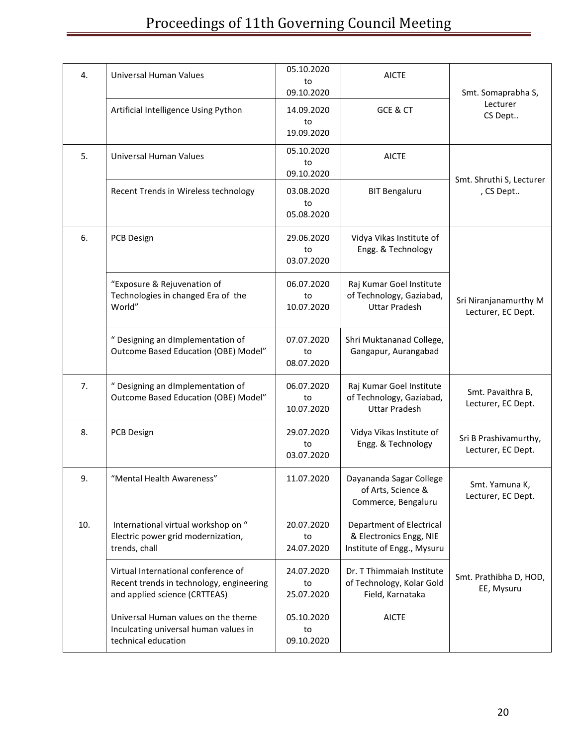| 4.  | Universal Human Values                                                                                           | 05.10.2020<br>to<br>09.10.2020 | <b>AICTE</b>                                                                      | Smt. Somaprabha S,                          |
|-----|------------------------------------------------------------------------------------------------------------------|--------------------------------|-----------------------------------------------------------------------------------|---------------------------------------------|
|     | Artificial Intelligence Using Python                                                                             | 14.09.2020<br>to<br>19.09.2020 | GCE & CT                                                                          | Lecturer<br>CS Dept                         |
| 5.  | Universal Human Values                                                                                           | 05.10.2020<br>to<br>09.10.2020 | <b>AICTE</b>                                                                      | Smt. Shruthi S, Lecturer                    |
|     | Recent Trends in Wireless technology                                                                             | 03.08.2020<br>to<br>05.08.2020 | <b>BIT Bengaluru</b>                                                              | , CS Dept                                   |
| 6.  | PCB Design                                                                                                       | 29.06.2020<br>to<br>03.07.2020 | Vidya Vikas Institute of<br>Engg. & Technology                                    |                                             |
|     | "Exposure & Rejuvenation of<br>Technologies in changed Era of the<br>World"                                      | 06.07.2020<br>to<br>10.07.2020 | Raj Kumar Goel Institute<br>of Technology, Gaziabad,<br><b>Uttar Pradesh</b>      | Sri Niranjanamurthy M<br>Lecturer, EC Dept. |
|     | " Designing an dImplementation of<br>Outcome Based Education (OBE) Model"                                        | 07.07.2020<br>to<br>08.07.2020 | Shri Muktananad College,<br>Gangapur, Aurangabad                                  |                                             |
| 7.  | " Designing an dImplementation of<br>Outcome Based Education (OBE) Model"                                        | 06.07.2020<br>to<br>10.07.2020 | Raj Kumar Goel Institute<br>of Technology, Gaziabad,<br><b>Uttar Pradesh</b>      | Smt. Pavaithra B,<br>Lecturer, EC Dept.     |
| 8.  | PCB Design                                                                                                       | 29.07.2020<br>to<br>03.07.2020 | Vidya Vikas Institute of<br>Engg. & Technology                                    | Sri B Prashivamurthy,<br>Lecturer, EC Dept. |
| 9.  | "Mental Health Awareness"                                                                                        | 11.07.2020                     | Dayananda Sagar College<br>of Arts, Science &<br>Commerce, Bengaluru              | Smt. Yamuna K,<br>Lecturer, EC Dept.        |
| 10. | International virtual workshop on "<br>Electric power grid modernization,<br>trends, chall                       | 20.07.2020<br>to<br>24.07.2020 | Department of Electrical<br>& Electronics Engg, NIE<br>Institute of Engg., Mysuru |                                             |
|     | Virtual International conference of<br>Recent trends in technology, engineering<br>and applied science (CRTTEAS) | 24.07.2020<br>to<br>25.07.2020 | Dr. T Thimmaiah Institute<br>of Technology, Kolar Gold<br>Field, Karnataka        | Smt. Prathibha D, HOD,<br>EE, Mysuru        |
|     | Universal Human values on the theme<br>Inculcating universal human values in<br>technical education              | 05.10.2020<br>to<br>09.10.2020 | <b>AICTE</b>                                                                      |                                             |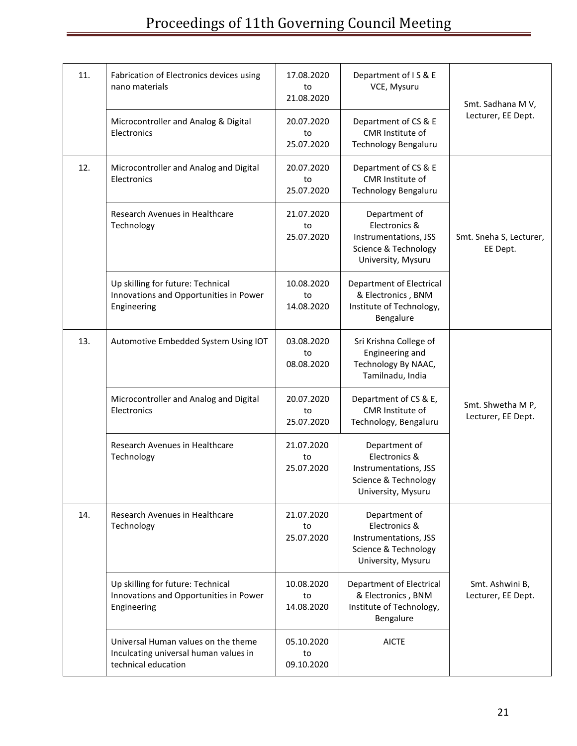| 11. | Fabrication of Electronics devices using<br>nano materials                                          | 17.08.2020<br>to<br>21.08.2020 | Department of IS & E<br>VCE, Mysuru                                                                   | Smt. Sadhana M V,                       |
|-----|-----------------------------------------------------------------------------------------------------|--------------------------------|-------------------------------------------------------------------------------------------------------|-----------------------------------------|
|     | Microcontroller and Analog & Digital<br>Electronics                                                 | 20.07.2020<br>to<br>25.07.2020 | Department of CS & E<br>CMR Institute of<br>Technology Bengaluru                                      | Lecturer, EE Dept.                      |
| 12. | Microcontroller and Analog and Digital<br>Electronics                                               | 20.07.2020<br>to<br>25.07.2020 | Department of CS & E<br>CMR Institute of<br><b>Technology Bengaluru</b>                               |                                         |
|     | Research Avenues in Healthcare<br>Technology                                                        | 21.07.2020<br>to<br>25.07.2020 | Department of<br>Electronics &<br>Instrumentations, JSS<br>Science & Technology<br>University, Mysuru | Smt. Sneha S, Lecturer,<br>EE Dept.     |
|     | Up skilling for future: Technical<br>Innovations and Opportunities in Power<br>Engineering          | 10.08.2020<br>to<br>14.08.2020 | Department of Electrical<br>& Electronics, BNM<br>Institute of Technology,<br>Bengalure               |                                         |
| 13. | Automotive Embedded System Using IOT                                                                | 03.08.2020<br>to<br>08.08.2020 | Sri Krishna College of<br>Engineering and<br>Technology By NAAC,<br>Tamilnadu, India                  |                                         |
|     | Microcontroller and Analog and Digital<br>Electronics                                               | 20.07.2020<br>to<br>25.07.2020 | Department of CS & E,<br>CMR Institute of<br>Technology, Bengaluru                                    | Smt. Shwetha M P,<br>Lecturer, EE Dept. |
|     | Research Avenues in Healthcare<br>Technology                                                        | 21.07.2020<br>to<br>25.07.2020 | Department of<br>Electronics &<br>Instrumentations, JSS<br>Science & Technology<br>University, Mysuru |                                         |
| 14. | Research Avenues in Healthcare<br>Technology                                                        | 21.07.2020<br>to<br>25.07.2020 | Department of<br>Electronics &<br>Instrumentations, JSS<br>Science & Technology<br>University, Mysuru |                                         |
|     | Up skilling for future: Technical<br>Innovations and Opportunities in Power<br>Engineering          | 10.08.2020<br>to<br>14.08.2020 | Department of Electrical<br>& Electronics, BNM<br>Institute of Technology,<br>Bengalure               | Smt. Ashwini B,<br>Lecturer, EE Dept.   |
|     | Universal Human values on the theme<br>Inculcating universal human values in<br>technical education | 05.10.2020<br>to<br>09.10.2020 | <b>AICTE</b>                                                                                          |                                         |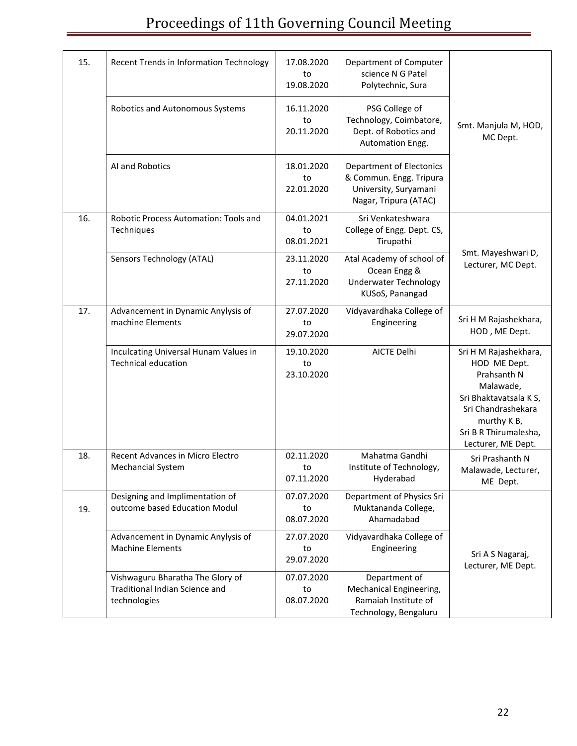| 15. | Recent Trends in Information Technology                                            | 17.08.2020<br>to<br>19.08.2020 | Department of Computer<br>science N G Patel<br>Polytechnic, Sura                                             |                                                                                                                                                                                 |  |
|-----|------------------------------------------------------------------------------------|--------------------------------|--------------------------------------------------------------------------------------------------------------|---------------------------------------------------------------------------------------------------------------------------------------------------------------------------------|--|
|     | Robotics and Autonomous Systems                                                    | 16.11.2020<br>to<br>20.11.2020 | PSG College of<br>Technology, Coimbatore,<br>Dept. of Robotics and<br>Automation Engg.                       | Smt. Manjula M, HOD,<br>MC Dept.                                                                                                                                                |  |
|     | AI and Robotics                                                                    | 18.01.2020<br>to<br>22.01.2020 | <b>Department of Electonics</b><br>& Commun. Engg. Tripura<br>University, Suryamani<br>Nagar, Tripura (ATAC) |                                                                                                                                                                                 |  |
| 16. | Robotic Process Automation: Tools and<br>Techniques                                | 04.01.2021<br>to<br>08.01.2021 | Sri Venkateshwara<br>College of Engg. Dept. CS,<br>Tirupathi                                                 |                                                                                                                                                                                 |  |
|     | Sensors Technology (ATAL)                                                          | 23.11.2020<br>to<br>27.11.2020 | Atal Academy of school of<br>Ocean Engg &<br><b>Underwater Technology</b><br>KUSoS, Panangad                 | Smt. Mayeshwari D,<br>Lecturer, MC Dept.                                                                                                                                        |  |
| 17. | Advancement in Dynamic Anylysis of<br>machine Elements                             | 27.07.2020<br>to<br>29.07.2020 | Vidyavardhaka College of<br>Engineering                                                                      | Sri H M Rajashekhara,<br>HOD, ME Dept.                                                                                                                                          |  |
|     | Inculcating Universal Hunam Values in<br><b>Technical education</b>                | 19.10.2020<br>to<br>23.10.2020 | AICTE Delhi                                                                                                  | Sri H M Rajashekhara,<br>HOD ME Dept.<br>Prahsanth N<br>Malawade,<br>Sri Bhaktavatsala K S,<br>Sri Chandrashekara<br>murthy K B,<br>Sri B R Thirumalesha,<br>Lecturer, ME Dept. |  |
| 18. | Recent Advances in Micro Electro<br><b>Mechancial System</b>                       | 02.11.2020<br>to<br>07.11.2020 | Mahatma Gandhi<br>Institute of Technology,<br>Hyderabad                                                      | Sri Prashanth N<br>Malawade, Lecturer,<br>ME Dept.                                                                                                                              |  |
| 19. | Designing and Implimentation of<br>outcome based Education Modul                   | 07.07.2020<br>to<br>08.07.2020 | Department of Physics Sri<br>Muktananda College,<br>Ahamadabad                                               |                                                                                                                                                                                 |  |
|     | Advancement in Dynamic Anylysis of<br><b>Machine Elements</b>                      | 27.07.2020<br>to<br>29.07.2020 | Vidyavardhaka College of<br>Engineering                                                                      | Sri A S Nagaraj,<br>Lecturer, ME Dept.                                                                                                                                          |  |
|     | Vishwaguru Bharatha The Glory of<br>Traditional Indian Science and<br>technologies | 07.07.2020<br>to<br>08.07.2020 | Department of<br>Mechanical Engineering,<br>Ramaiah Institute of<br>Technology, Bengaluru                    |                                                                                                                                                                                 |  |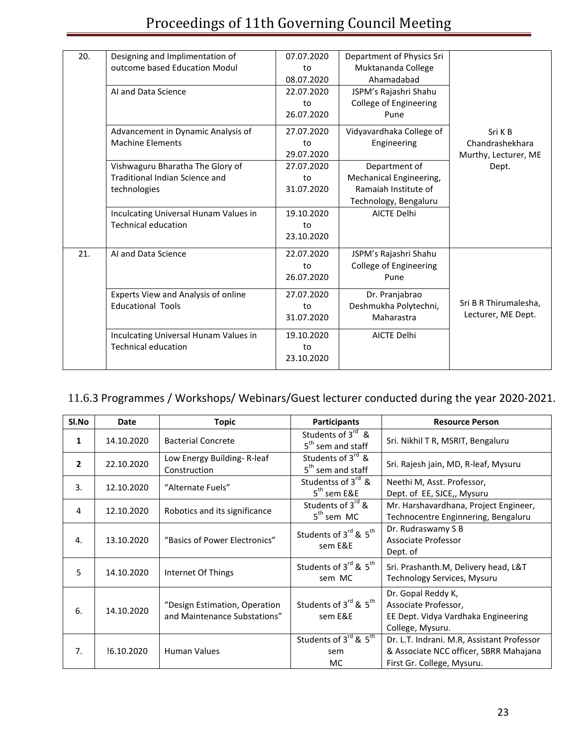| 20. | Designing and Implimentation of       | 07.07.2020 | Department of Physics Sri |                       |
|-----|---------------------------------------|------------|---------------------------|-----------------------|
|     | outcome based Education Modul         | to         | Muktananda College        |                       |
|     |                                       | 08.07.2020 | Ahamadabad                |                       |
|     | AI and Data Science                   | 22.07.2020 | JSPM's Rajashri Shahu     |                       |
|     |                                       | to         | College of Engineering    |                       |
|     |                                       | 26.07.2020 | Pune                      |                       |
|     | Advancement in Dynamic Analysis of    | 27.07.2020 | Vidyavardhaka College of  | Sri K B               |
|     | <b>Machine Elements</b>               | to         | Engineering               | Chandrashekhara       |
|     |                                       | 29.07.2020 |                           | Murthy, Lecturer, ME  |
|     | Vishwaguru Bharatha The Glory of      | 27.07.2020 | Department of             | Dept.                 |
|     | Traditional Indian Science and        | to         | Mechanical Engineering,   |                       |
|     | technologies                          | 31.07.2020 | Ramaiah Institute of      |                       |
|     |                                       |            | Technology, Bengaluru     |                       |
|     | Inculcating Universal Hunam Values in | 19.10.2020 | <b>AICTE Delhi</b>        |                       |
|     | <b>Technical education</b>            | to         |                           |                       |
|     |                                       | 23.10.2020 |                           |                       |
| 21. | AI and Data Science                   | 22.07.2020 | JSPM's Rajashri Shahu     |                       |
|     |                                       | to         | College of Engineering    |                       |
|     |                                       | 26.07.2020 | Pune                      |                       |
|     | Experts View and Analysis of online   | 27.07.2020 | Dr. Pranjabrao            |                       |
|     | <b>Educational Tools</b>              | to         | Deshmukha Polytechni,     | Sri B R Thirumalesha, |
|     |                                       | 31.07.2020 | Maharastra                | Lecturer, ME Dept.    |
|     | Inculcating Universal Hunam Values in | 19.10.2020 | <b>AICTE Delhi</b>        |                       |
|     | <b>Technical education</b>            | to         |                           |                       |
|     |                                       | 23.10.2020 |                           |                       |
|     |                                       |            |                           |                       |

## 11.6.3 Programmes / Workshops/ Webinars/Guest lecturer conducted during the year 2020-2021.

| Sl.No                    | <b>Date</b> | <b>Topic</b>                                                  | <b>Participants</b>                                            | <b>Resource Person</b>                                                                                             |
|--------------------------|-------------|---------------------------------------------------------------|----------------------------------------------------------------|--------------------------------------------------------------------------------------------------------------------|
| 1                        | 14.10.2020  | <b>Bacterial Concrete</b>                                     | Students of 3 <sup>rd</sup> &<br>5 <sup>th</sup> sem and staff | Sri. Nikhil T R, MSRIT, Bengaluru                                                                                  |
| $\overline{\phantom{a}}$ | 22.10.2020  | Low Energy Building-R-leaf<br>Construction                    | Students of 3 <sup>rd</sup> &<br>5 <sup>th</sup> sem and staff | Sri. Rajesh jain, MD, R-leaf, Mysuru                                                                               |
| 3.                       | 12.10.2020  | "Alternate Fuels"                                             | Studentss of 3 <sup>rd</sup> &<br>$5th$ sem E&E                | Neethi M, Asst. Professor,<br>Dept. of EE, SJCE,, Mysuru                                                           |
| 4                        | 12.10.2020  | Robotics and its significance                                 | Students of 3 <sup>rd</sup> &<br>$5th$ sem MC                  | Mr. Harshavardhana, Project Engineer,<br>Technocentre Enginnering, Bengaluru                                       |
| 4.                       | 13.10.2020  | "Basics of Power Electronics"                                 | Students of 3rd & 5 <sup>th</sup><br>sem E&E                   | Dr. Rudraswamy S B<br>Associate Professor<br>Dept. of                                                              |
| 5.                       | 14.10.2020  | Internet Of Things                                            | Students of 3rd & 5 <sup>th</sup><br>sem MC                    | Sri. Prashanth.M, Delivery head, L&T<br>Technology Services, Mysuru                                                |
| 6.                       | 14.10.2020  | "Design Estimation, Operation<br>and Maintenance Substations" | Students of 3rd & 5 <sup>th</sup><br>sem E&E                   | Dr. Gopal Reddy K,<br>Associate Professor,<br>EE Dept. Vidya Vardhaka Engineering<br>College, Mysuru.              |
| 7.                       | !6.10.2020  | <b>Human Values</b>                                           | Students of 3rd & 5 <sup>th</sup><br>sem<br>MC.                | Dr. L.T. Indrani. M.R. Assistant Professor<br>& Associate NCC officer, SBRR Mahajana<br>First Gr. College, Mysuru. |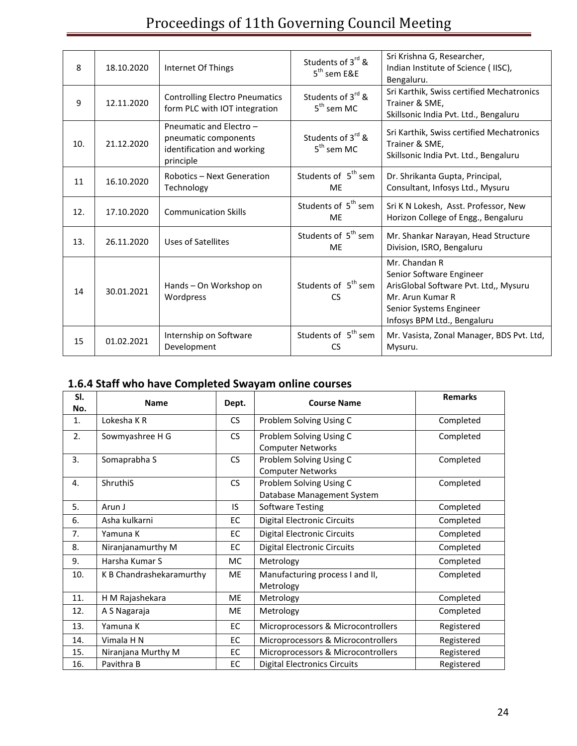## Proceedings of 11th Governing Council Meeting

| 8   | 18.10.2020 | Internet Of Things                                                                        | Students of 3rd &<br>$5th$ sem E&E           | Sri Krishna G, Researcher,<br>Indian Institute of Science (IISC),<br>Bengaluru.                                                                                  |
|-----|------------|-------------------------------------------------------------------------------------------|----------------------------------------------|------------------------------------------------------------------------------------------------------------------------------------------------------------------|
| 9   | 12.11.2020 | <b>Controlling Electro Pneumatics</b><br>form PLC with IOT integration                    | Students of 3rd &<br>$5^{th}$ sem MC         | Sri Karthik, Swiss certified Mechatronics<br>Trainer & SME,<br>Skillsonic India Pvt. Ltd., Bengaluru                                                             |
| 10. | 21.12.2020 | Pneumatic and Electro-<br>pneumatic components<br>identification and working<br>principle | Students of 3rd &<br>$5th$ sem MC            | Sri Karthik, Swiss certified Mechatronics<br>Trainer & SME,<br>Skillsonic India Pvt. Ltd., Bengaluru                                                             |
| 11  | 16.10.2020 | Robotics - Next Generation<br>Technology                                                  | Students of 5 <sup>th</sup> sem<br><b>ME</b> | Dr. Shrikanta Gupta, Principal,<br>Consultant, Infosys Ltd., Mysuru                                                                                              |
| 12. | 17.10.2020 | <b>Communication Skills</b>                                                               | Students of 5 <sup>th</sup> sem<br><b>ME</b> | Sri K N Lokesh, Asst. Professor, New<br>Horizon College of Engg., Bengaluru                                                                                      |
| 13. | 26.11.2020 | Uses of Satellites                                                                        | Students of 5 <sup>th</sup> sem<br><b>ME</b> | Mr. Shankar Narayan, Head Structure<br>Division, ISRO, Bengaluru                                                                                                 |
| 14  | 30.01.2021 | Hands - On Workshop on<br>Wordpress                                                       | Students of 5 <sup>th</sup> sem<br><b>CS</b> | Mr. Chandan R<br>Senior Software Engineer<br>ArisGlobal Software Pvt. Ltd,, Mysuru<br>Mr. Arun Kumar R<br>Senior Systems Engineer<br>Infosys BPM Ltd., Bengaluru |
| 15  | 01.02.2021 | Internship on Software<br>Development                                                     | Students of 5 <sup>th</sup> sem<br>CS        | Mr. Vasista, Zonal Manager, BDS Pvt. Ltd,<br>Mysuru.                                                                                                             |

## **1.6.4 Staff who have Completed Swayam online courses**

| SI. | <b>Name</b>              |           | <b>Course Name</b>                                    | <b>Remarks</b> |
|-----|--------------------------|-----------|-------------------------------------------------------|----------------|
| No. |                          | Dept.     |                                                       |                |
| 1.  | Lokesha K R              | CS        | Problem Solving Using C                               | Completed      |
| 2.  | Sowmyashree H G          | <b>CS</b> | Problem Solving Using C<br><b>Computer Networks</b>   | Completed      |
| 3.  | Somaprabha S             | <b>CS</b> | Problem Solving Using C<br><b>Computer Networks</b>   | Completed      |
| 4.  | ShruthiS                 | CS        | Problem Solving Using C<br>Database Management System | Completed      |
| 5.  | Arun J                   | IS        | <b>Software Testing</b>                               | Completed      |
| 6.  | Asha kulkarni            | EC        | <b>Digital Electronic Circuits</b>                    | Completed      |
| 7.  | Yamuna K                 | EC        | <b>Digital Electronic Circuits</b>                    | Completed      |
| 8.  | Niranjanamurthy M        | EC        | <b>Digital Electronic Circuits</b>                    | Completed      |
| 9.  | Harsha Kumar S           | МC        | Metrology                                             | Completed      |
| 10. | K B Chandrashekaramurthy | ME        | Manufacturing process I and II,<br>Metrology          | Completed      |
| 11. | H M Rajashekara          | <b>ME</b> | Metrology                                             | Completed      |
| 12. | A S Nagaraja             | ME        | Metrology                                             | Completed      |
| 13. | Yamuna K                 | EC        | Microprocessors & Microcontrollers                    | Registered     |
| 14. | Vimala H N               | EC        | Microprocessors & Microcontrollers                    | Registered     |
| 15. | Niranjana Murthy M       | EC        | Microprocessors & Microcontrollers                    | Registered     |
| 16. | Pavithra B               | EC        | <b>Digital Electronics Circuits</b>                   | Registered     |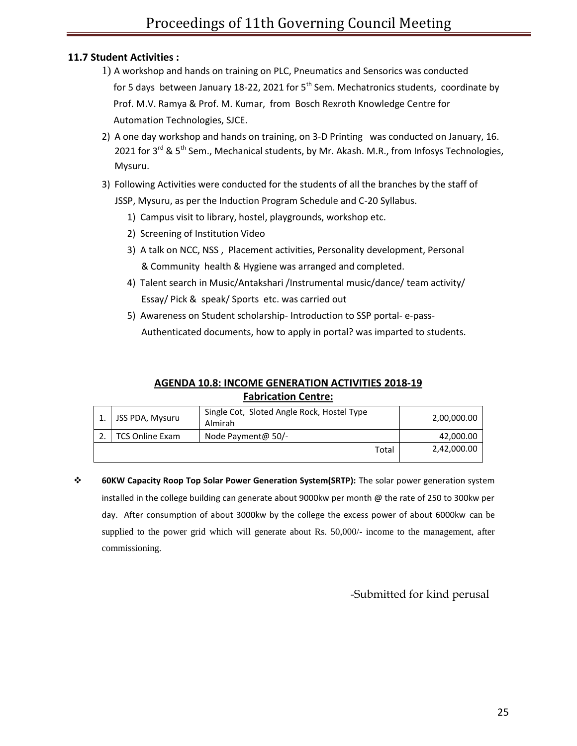#### **11.7 Student Activities :**

- 1) A workshop and hands on training on PLC, Pneumatics and Sensorics was conducted for 5 days between January 18-22, 2021 for  $5<sup>th</sup>$  Sem. Mechatronics students, coordinate by Prof. M.V. Ramya & Prof. M. Kumar, from Bosch Rexroth Knowledge Centre for Automation Technologies, SJCE.
- 2) A one day workshop and hands on training, on 3-D Printing was conducted on January, 16. 2021 for  $3^{rd}$  &  $5^{th}$  Sem., Mechanical students, by Mr. Akash. M.R., from Infosys Technologies, Mysuru.
- 3) Following Activities were conducted for the students of all the branches by the staff of JSSP, Mysuru, as per the Induction Program Schedule and C-20 Syllabus.
	- 1) Campus visit to library, hostel, playgrounds, workshop etc.
	- 2) Screening of Institution Video
	- 3) A talk on NCC, NSS , Placement activities, Personality development, Personal & Community health & Hygiene was arranged and completed.
	- 4) Talent search in Music/Antakshari /Instrumental music/dance/ team activity/ Essay/ Pick & speak/ Sports etc. was carried out
	- 5) Awareness on Student scholarship- Introduction to SSP portal- e-pass- Authenticated documents, how to apply in portal? was imparted to students.

## **AGENDA 10.8: INCOME GENERATION ACTIVITIES 2018-19 Fabrication Centre:**

| JSS PDA, Mysuru        | Single Cot, Sloted Angle Rock, Hostel Type<br>Almirah | 2,00,000.00 |
|------------------------|-------------------------------------------------------|-------------|
| <b>TCS Online Exam</b> | Node Payment@ $50/-$                                  | 42,000.00   |
|                        | Total                                                 | 2,42,000.00 |

 **60KW Capacity Roop Top Solar Power Generation System(SRTP):** The solar power generation system installed in the college building can generate about 9000kw per month @ the rate of 250 to 300kw per day. After consumption of about 3000kw by the college the excess power of about 6000kw can be supplied to the power grid which will generate about Rs. 50,000/- income to the management, after commissioning.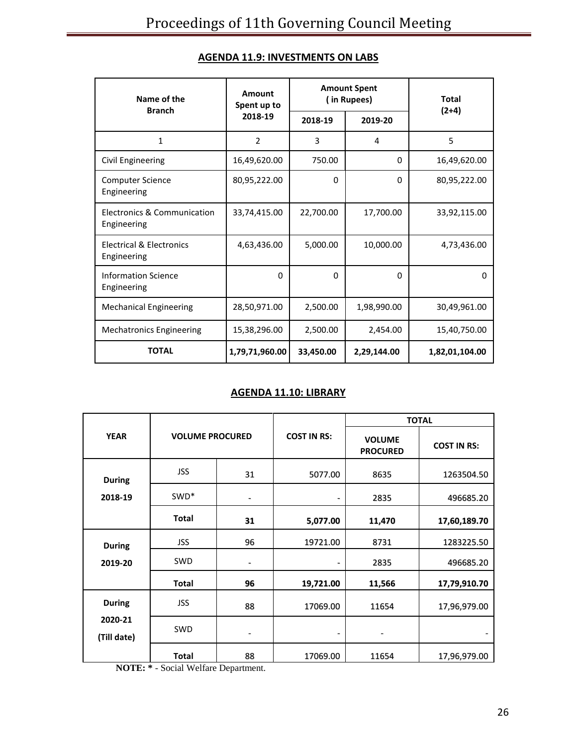| Name of the<br><b>Branch</b>               | Amount<br>Spent up to |           | <b>Amount Spent</b><br>(in Rupees) | <b>Total</b><br>$(2+4)$ |  |
|--------------------------------------------|-----------------------|-----------|------------------------------------|-------------------------|--|
|                                            | 2018-19               | 2018-19   | 2019-20                            |                         |  |
| $\mathbf{1}$                               | 2                     | 3         | 4                                  | 5                       |  |
| Civil Engineering                          | 16,49,620.00          | 750.00    | 0                                  | 16,49,620.00            |  |
| <b>Computer Science</b><br>Engineering     | 80,95,222.00          | 0         | $\Omega$                           | 80,95,222.00            |  |
| Electronics & Communication<br>Engineering | 33,74,415.00          | 22,700.00 | 17,700.00                          | 33,92,115.00            |  |
| Electrical & Electronics<br>Engineering    | 4,63,436.00           | 5,000.00  | 10,000.00                          | 4,73,436.00             |  |
| Information Science<br>Engineering         | $\Omega$              | $\Omega$  | 0                                  | 0                       |  |
| <b>Mechanical Engineering</b>              | 28,50,971.00          | 2,500.00  | 1,98,990.00                        | 30,49,961.00            |  |
| <b>Mechatronics Engineering</b>            | 15,38,296.00          | 2,500.00  | 2,454.00                           | 15,40,750.00            |  |
| <b>TOTAL</b>                               | 1,79,71,960.00        | 33,450.00 | 2,29,144.00                        | 1,82,01,104.00          |  |

## **AGENDA 11.9: INVESTMENTS ON LABS**

#### **AGENDA 11.10: LIBRARY**

|                        |                        |                              |                              |                                  | <b>TOTAL</b>       |  |  |  |
|------------------------|------------------------|------------------------------|------------------------------|----------------------------------|--------------------|--|--|--|
| <b>YEAR</b>            | <b>VOLUME PROCURED</b> |                              | <b>COST IN RS:</b>           | <b>VOLUME</b><br><b>PROCURED</b> | <b>COST IN RS:</b> |  |  |  |
| <b>During</b>          | <b>JSS</b>             | 31                           | 5077.00                      | 8635                             | 1263504.50         |  |  |  |
| 2018-19                | SWD <sup>*</sup>       | $\qquad \qquad \blacksquare$ | ٠                            | 2835                             | 496685.20          |  |  |  |
|                        | <b>Total</b>           | 31                           | 5,077.00                     | 11,470                           | 17,60,189.70       |  |  |  |
| <b>During</b>          | <b>JSS</b>             | 96                           | 19721.00                     | 8731                             | 1283225.50         |  |  |  |
| 2019-20                | <b>SWD</b>             | $\blacksquare$               | $\qquad \qquad \blacksquare$ | 2835                             | 496685.20          |  |  |  |
|                        | <b>Total</b>           | 96                           | 19,721.00                    | 11,566                           | 17,79,910.70       |  |  |  |
| <b>During</b>          | <b>JSS</b>             | 88                           | 17069.00                     | 11654                            | 17,96,979.00       |  |  |  |
| 2020-21<br>(Till date) | <b>SWD</b>             | $\blacksquare$               | -                            | -                                |                    |  |  |  |
|                        | <b>Total</b>           | 88                           | 17069.00                     | 11654                            | 17,96,979.00       |  |  |  |

 **NOTE: \*** - Social Welfare Department.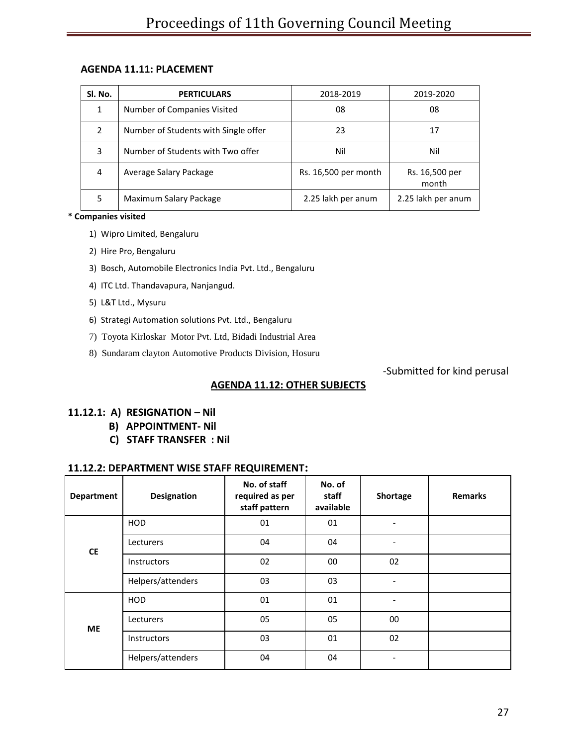#### **AGENDA 11.11: PLACEMENT**

| Sl. No. | <b>PERTICULARS</b>                   | 2018-2019            | 2019-2020               |
|---------|--------------------------------------|----------------------|-------------------------|
|         | Number of Companies Visited          | 08                   | 08                      |
| 2       | Number of Students with Single offer | 23                   | 17                      |
| 3       | Number of Students with Two offer    | Nil                  | Nil                     |
| 4       | Average Salary Package               | Rs. 16,500 per month | Rs. 16,500 per<br>month |
| 5       | Maximum Salary Package               | 2.25 lakh per anum   | 2.25 lakh per anum      |

#### **\* Companies visited**

- 1) Wipro Limited, Bengaluru
- 2) Hire Pro, Bengaluru
- 3) Bosch, Automobile Electronics India Pvt. Ltd., Bengaluru
- 4) ITC Ltd. Thandavapura, Nanjangud.
- 5) L&T Ltd., Mysuru
- 6) Strategi Automation solutions Pvt. Ltd., Bengaluru
- 7) Toyota Kirloskar Motor Pvt. Ltd, Bidadi Industrial Area
- 8) Sundaram clayton Automotive Products Division, Hosuru

#### -Submitted for kind perusal

#### **AGENDA 11.12: OTHER SUBJECTS**

#### **11.12.1: A) RESIGNATION – Nil**

- **B) APPOINTMENT- Nil**
- **C) STAFF TRANSFER : Nil**

#### **11.12.2: DEPARTMENT WISE STAFF REQUIREMENT:**

| Department | <b>Designation</b> | No. of staff<br>required as per<br>staff pattern | No. of<br>staff<br>available | Shortage                 | <b>Remarks</b> |
|------------|--------------------|--------------------------------------------------|------------------------------|--------------------------|----------------|
|            | <b>HOD</b>         | 01                                               | 01                           |                          |                |
| <b>CE</b>  | Lecturers          | 04                                               | 04                           |                          |                |
|            | <b>Instructors</b> | 02                                               | 00                           | 02                       |                |
|            | Helpers/attenders  | 03                                               | 03                           | $\overline{\phantom{0}}$ |                |
|            | <b>HOD</b>         | 01                                               | 01                           |                          |                |
| <b>ME</b>  | Lecturers          | 05                                               | 05                           | 00                       |                |
|            | <b>Instructors</b> | 03                                               | 01                           | 02                       |                |
|            | Helpers/attenders  | 04                                               | 04                           |                          |                |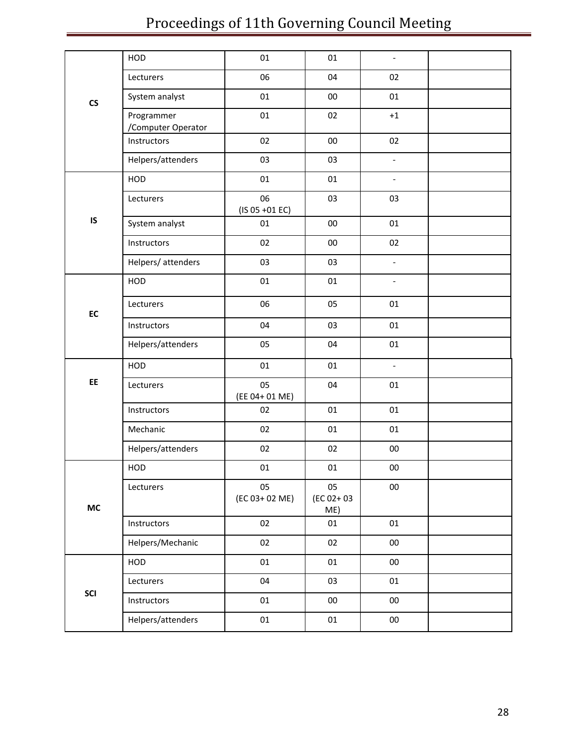# Proceedings of 11th Governing Council Meeting

|                          | HOD                              | 01                   | 01                     | $\overline{\phantom{a}}$ |  |
|--------------------------|----------------------------------|----------------------|------------------------|--------------------------|--|
|                          | Lecturers                        | 06                   | 04                     | 02                       |  |
| $\mathsf{CS}\phantom{A}$ | System analyst                   | 01                   | $00\,$                 | 01                       |  |
|                          | Programmer<br>/Computer Operator | 01                   | 02                     | $+1$                     |  |
|                          | Instructors                      | 02                   | $00\,$                 | 02                       |  |
|                          | Helpers/attenders                | 03                   | 03                     | $\blacksquare$           |  |
|                          | HOD                              | 01                   | 01                     | $\blacksquare$           |  |
|                          | Lecturers                        | 06<br>(IS 05 +01 EC) | 03                     | 03                       |  |
| IS                       | System analyst                   | 01                   | $00\,$                 | 01                       |  |
|                          | Instructors                      | 02                   | $00\,$                 | 02                       |  |
|                          | Helpers/ attenders               | 03                   | 03                     | $\overline{a}$           |  |
| EC                       | HOD                              | 01                   | 01                     | $\blacksquare$           |  |
|                          | Lecturers                        | 06                   | 05                     | 01                       |  |
|                          | Instructors                      | 04                   | 03                     | 01                       |  |
|                          | Helpers/attenders                | 05                   | 04                     | 01                       |  |
|                          | HOD                              | 01                   | 01                     | $\blacksquare$           |  |
| EE                       | Lecturers                        | 05<br>(EE 04+ 01 ME) | 04                     | 01                       |  |
|                          | Instructors                      | 02                   | 01                     | 01                       |  |
|                          | Mechanic                         | 02                   | 01                     | 01                       |  |
|                          | Helpers/attenders                | 02                   | 02                     | $00\,$                   |  |
|                          | HOD                              | 01                   | 01                     | $00\,$                   |  |
| MC                       | Lecturers                        | 05<br>(EC 03+ 02 ME) | 05<br>(EC 02+03<br>ME) | $00\,$                   |  |
|                          | Instructors                      | 02                   | $01\,$                 | $01\,$                   |  |
|                          | Helpers/Mechanic                 | 02                   | 02                     | ${\bf 00}$               |  |
|                          | HOD                              | 01                   | 01                     | $00\,$                   |  |
|                          | Lecturers                        | 04                   | 03                     | 01                       |  |
| SCI                      | Instructors                      | 01                   | $00\,$                 | 00                       |  |
|                          | Helpers/attenders                | 01                   | 01                     | $00\,$                   |  |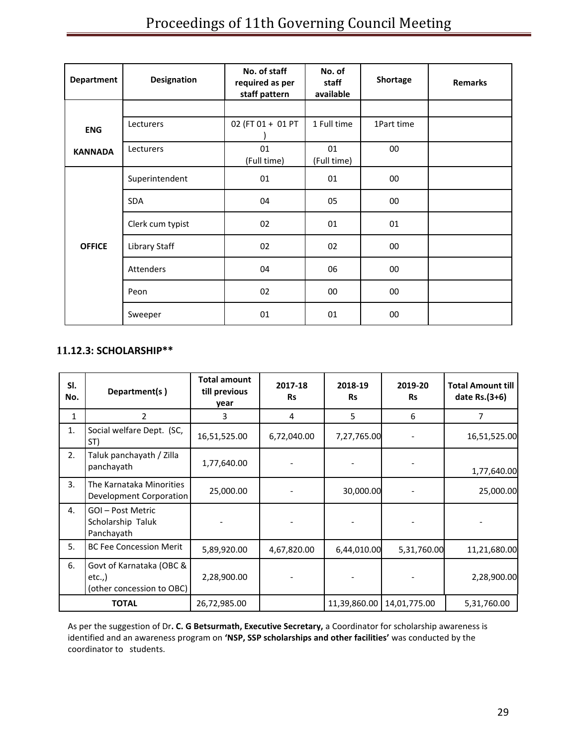| <b>Department</b> | <b>Designation</b> | No. of staff<br>required as per<br>staff pattern | No. of<br>staff<br>available | Shortage   | <b>Remarks</b> |
|-------------------|--------------------|--------------------------------------------------|------------------------------|------------|----------------|
|                   |                    |                                                  |                              |            |                |
| <b>ENG</b>        | Lecturers          | 02 (FT 01 + 01 PT                                | 1 Full time                  | 1Part time |                |
| <b>KANNADA</b>    | Lecturers          | 01<br>(Full time)                                | 01<br>(Full time)            | 00         |                |
|                   | Superintendent     | 01                                               | 01                           | $00\,$     |                |
|                   | <b>SDA</b>         | 04                                               | 05                           | $00\,$     |                |
|                   | Clerk cum typist   | 02                                               | 01                           | 01         |                |
| <b>OFFICE</b>     | Library Staff      | 02                                               | 02                           | 00         |                |
|                   | <b>Attenders</b>   | 04                                               | 06                           | 00         |                |
|                   | Peon               | 02                                               | $00\,$                       | $00\,$     |                |
|                   | Sweeper            | 01                                               | 01                           | 00         |                |

#### **11.12.3: SCHOLARSHIP\*\***

| SI.<br>No.   | Department(s)                                                  | <b>Total amount</b><br>till previous<br>year | 2017-18<br><b>Rs</b> | 2018-19<br><b>Rs</b> | 2019-20<br><b>Rs</b> | <b>Total Amount till</b><br>date Rs.(3+6) |
|--------------|----------------------------------------------------------------|----------------------------------------------|----------------------|----------------------|----------------------|-------------------------------------------|
| $\mathbf{1}$ | 2                                                              | 3                                            | 4                    | 5                    | 6                    | 7                                         |
| 1.           | Social welfare Dept. (SC,<br>ST)                               | 16,51,525.00                                 | 6,72,040.00          | 7,27,765.00          |                      | 16,51,525.00                              |
| 2.           | Taluk panchayath / Zilla<br>panchayath                         | 1,77,640.00                                  |                      |                      |                      | 1,77,640.00                               |
| 3.           | The Karnataka Minorities<br>Development Corporation            | 25,000.00                                    |                      | 30,000.00            |                      | 25,000.00                                 |
| 4.           | GOI - Post Metric<br>Scholarship Taluk<br>Panchayath           |                                              |                      |                      |                      |                                           |
| 5.           | <b>BC Fee Concession Merit</b>                                 | 5,89,920.00                                  | 4,67,820.00          | 6,44,010.00          | 5,31,760.00          | 11,21,680.00                              |
| 6.           | Govt of Karnataka (OBC &<br>etc.,<br>(other concession to OBC) | 2,28,900.00                                  |                      |                      |                      | 2,28,900.00                               |
|              | <b>TOTAL</b>                                                   | 26,72,985.00                                 |                      | 11,39,860.00         | 14,01,775.00         | 5,31,760.00                               |

As per the suggestion of Dr**. C. G Betsurmath, Executive Secretary,** a Coordinator for scholarship awareness is identified and an awareness program on **'NSP, SSP scholarships and other facilities'** was conducted by the coordinator to students.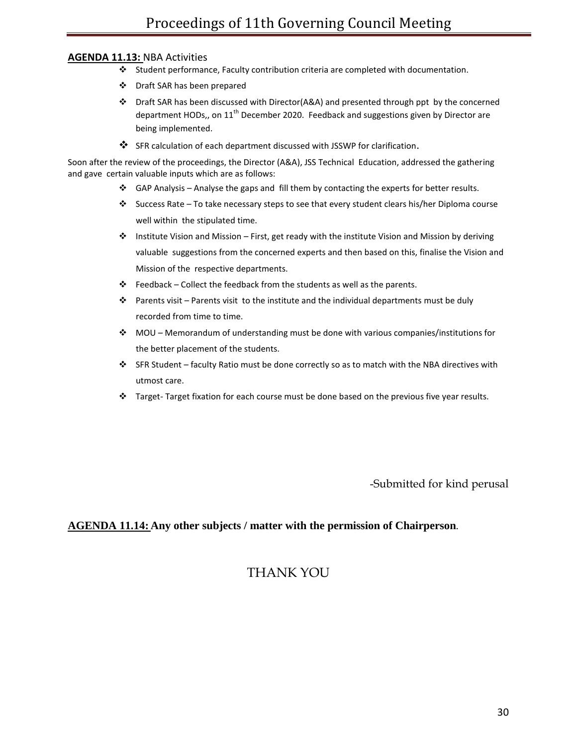#### **AGENDA 11.13:** NBA Activities

- Student performance, Faculty contribution criteria are completed with documentation.
- Draft SAR has been prepared
- Draft SAR has been discussed with Director(A&A) and presented through ppt by the concerned department HODs., on 11<sup>th</sup> December 2020. Feedback and suggestions given by Director are being implemented.
- SFR calculation of each department discussed with JSSWP for clarification.

Soon after the review of the proceedings, the Director (A&A), JSS Technical Education, addressed the gathering and gave certain valuable inputs which are as follows:

- $\div$  GAP Analysis Analyse the gaps and fill them by contacting the experts for better results.
- Success Rate To take necessary steps to see that every student clears his/her Diploma course well within the stipulated time.
- $\cdot \cdot$  Institute Vision and Mission First, get ready with the institute Vision and Mission by deriving valuable suggestions from the concerned experts and then based on this, finalise the Vision and Mission of the respective departments.
- $\div$  Feedback Collect the feedback from the students as well as the parents.
- Parents visit Parents visit to the institute and the individual departments must be duly recorded from time to time.
- $\cdot \cdot$  MOU Memorandum of understanding must be done with various companies/institutions for the better placement of the students.
- $\div$  SFR Student faculty Ratio must be done correctly so as to match with the NBA directives with utmost care.
- \* Target-Target fixation for each course must be done based on the previous five year results.

-Submitted for kind perusal

#### **AGENDA 11.14: Any other subjects / matter with the permission of Chairperson.**

## THANK YOU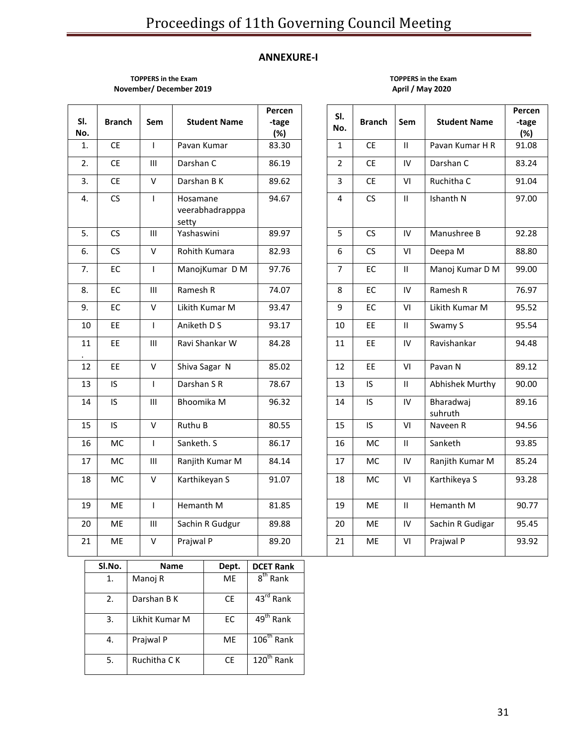#### **ANNEXURE-I**

#### **TOPPERS in the Exam 1988 CONSUMING TOPPERS IN TOPPERS in the Exam 1999 CONSUMING TOPPERS IN the Exam**<br> **TOPPERS in the Exam November/ December 2019**

| SI.<br>No. | <b>Branch</b> | Sem                                | <b>Student Name</b>                  | Percen<br>-tage<br>(%) | SI.<br>No.     | <b>Branch</b> | <b>Sem</b>                 | <b>Student Name</b>  | Percer<br>-tage<br>$(\%)$ |
|------------|---------------|------------------------------------|--------------------------------------|------------------------|----------------|---------------|----------------------------|----------------------|---------------------------|
| 1.         | <b>CE</b>     | T                                  | Pavan Kumar                          | 83.30                  | $\mathbf 1$    | CE            | $\mathbf{H}$               | Pavan Kumar H R      | 91.08                     |
| 2.         | <b>CE</b>     | $\mathbf{III}$                     | Darshan C                            | 86.19                  | $\overline{2}$ | <b>CE</b>     | IV                         | Darshan C            | 83.24                     |
| 3.         | <b>CE</b>     | $\vee$                             | Darshan B K                          | 89.62                  | $\overline{3}$ | <b>CE</b>     | VI                         | Ruchitha C           | 91.04                     |
| 4.         | CS            | $\mathbf{I}$                       | Hosamane<br>veerabhadrapppa<br>setty | 94.67                  | 4              | CS            | $\ensuremath{\mathsf{II}}$ | Ishanth N            | 97.00                     |
| 5.         | CS            | III                                | Yashaswini                           | 89.97                  | 5              | CS            | IV                         | Manushree B          | 92.28                     |
| 6.         | CS            | $\mathsf{V}$                       | Rohith Kumara                        | 82.93                  | 6              | CS            | VI                         | Deepa M              | 88.80                     |
| 7.         | EC            | $\mathbf{I}$                       | ManojKumar D M                       | 97.76                  | $\overline{7}$ | EC            | $\ensuremath{\mathsf{II}}$ | Manoj Kumar D M      | 99.00                     |
| 8.         | EC            | $\ensuremath{\mathsf{III}}\xspace$ | Ramesh R                             | 74.07                  | 8              | EC            | IV                         | Ramesh R             | 76.97                     |
| 9.         | EC            | $\mathsf{V}$                       | Likith Kumar M                       | 93.47                  | 9              | EC            | VI                         | Likith Kumar M       | 95.52                     |
| 10         | EE            | $\mathbf{I}$                       | Aniketh D S                          | 93.17                  | 10             | EE            | $\mathbf{H}$               | Swamy S              | 95.54                     |
| 11         | EE            | $\mathsf{III}$                     | Ravi Shankar W                       | 84.28                  | 11             | EE            | IV                         | Ravishankar          | 94.48                     |
| 12         | EE            | $\vee$                             | Shiva Sagar N                        | 85.02                  | 12             | EE            | VI                         | Pavan N              | 89.12                     |
| 13         | IS            | $\mathbf{I}$                       | Darshan S R                          | 78.67                  | 13             | IS            | $\ensuremath{\mathsf{II}}$ | Abhishek Murthy      | 90.00                     |
| 14         | IS            | Ш                                  | Bhoomika M                           | 96.32                  | 14             | IS            | IV                         | Bharadwaj<br>suhruth | 89.16                     |
| 15         | IS            | $\vee$                             | Ruthu B                              | 80.55                  | 15             | IS.           | VI                         | Naveen R             | 94.56                     |
| 16         | <b>MC</b>     | $\mathbf{I}$                       | Sanketh. S                           | 86.17                  | 16             | <b>MC</b>     | $\mathbf{II}$              | Sanketh              | 93.85                     |
| 17         | MC            | $\ensuremath{\mathsf{III}}\xspace$ | Ranjith Kumar M                      | 84.14                  | 17             | MC            | IV                         | Ranjith Kumar M      | 85.24                     |
| 18         | MC            | $\vee$                             | Karthikeyan S                        | 91.07                  | 18             | MC            | VI                         | Karthikeya S         | 93.28                     |
| 19         | ME            | T                                  | Hemanth M                            | 81.85                  | 19             | ME            | $\ensuremath{\mathsf{II}}$ | Hemanth M            | 90.77                     |
| 20         | ME            | $\mathsf{III}\,$                   | Sachin R Gudgur                      | 89.88                  | 20             | ME            | IV                         | Sachin R Gudigar     | 95.45                     |
| 21         | ME            | $\vee$                             | Prajwal P                            | 89.20                  | 21             | ME            | VI                         | Prajwal P            | 93.92                     |

| ranch                                       | Sem          | <b>Student Name</b>                  | Percen<br>-tage<br>(%) | SI.<br>No.   | <b>Branch</b> | Sem          | <b>Student Name</b>  | Percen<br>-tage<br>(%) |
|---------------------------------------------|--------------|--------------------------------------|------------------------|--------------|---------------|--------------|----------------------|------------------------|
| <b>CE</b>                                   | $\mathbf{I}$ | Pavan Kumar                          | 83.30                  | $\mathbf{1}$ | <b>CE</b>     | Ш            | Pavan Kumar H R      | 91.08                  |
| $\overline{\overline{\overline{\text{CE}}}$ | Ш            | Darshan C                            | 86.19                  | 2            | <b>CE</b>     | IV           | Darshan C            | 83.24                  |
| <b>CE</b>                                   | $\vee$       | Darshan B K                          | 89.62                  | 3            | <b>CE</b>     | VI           | Ruchitha C           | 91.04                  |
| $\overline{\text{cs}}$                      | T            | Hosamane<br>veerabhadrapppa<br>setty | 94.67                  | 4            | CS            | $\mathbf{H}$ | Ishanth N            | 97.00                  |
| <b>CS</b>                                   | Ш            | Yashaswini                           | 89.97                  | 5            | CS            | IV           | Manushree B          | 92.28                  |
| <b>CS</b>                                   | V            | Rohith Kumara                        | 82.93                  | 6            | CS            | VI           | Deepa M              | 88.80                  |
| $\overline{EC}$                             | T            | ManojKumar D M                       | 97.76                  | 7            | EC            | $\mathbf{H}$ | Manoj Kumar D M      | 99.00                  |
| EC                                          | III          | Ramesh R                             | 74.07                  | 8            | EC            | IV           | Ramesh R             | 76.97                  |
| EC                                          | V            | Likith Kumar M                       | 93.47                  | 9            | EC            | VI           | Likith Kumar M       | 95.52                  |
| ΕE.                                         | T            | Aniketh D S                          | 93.17                  | 10           | EE.           | Ш            | Swamy S              | 95.54                  |
| ΕE.                                         | Ш            | Ravi Shankar W                       | 84.28                  | 11           | EE            | IV           | Ravishankar          | 94.48                  |
| EE                                          | $\vee$       | Shiva Sagar N                        | 85.02                  | 12           | EE            | VI           | Pavan N              | 89.12                  |
| $\overline{\mathsf{IS}}$                    | $\mathbf{I}$ | Darshan S R                          | 78.67                  | 13           | IS            | $\mathbf{H}$ | Abhishek Murthy      | 90.00                  |
| IS                                          | Ш            | Bhoomika M                           | 96.32                  | 14           | IS            | IV           | Bharadwaj<br>suhruth | 89.16                  |
| IS                                          | $\vee$       | Ruthu B                              | 80.55                  | 15           | IS.           | VI           | Naveen R             | 94.56                  |
| $\overline{\text{MC}}$                      | $\mathbf{I}$ | Sanketh. S                           | 86.17                  | 16           | MC            | Ш            | Sanketh              | 93.85                  |
| MC                                          | Ш            | Ranjith Kumar M                      | 84.14                  | 17           | <b>MC</b>     | IV           | Ranjith Kumar M      | 85.24                  |
| MC                                          | V            | Karthikeyan S                        | 91.07                  | 18           | MC            | VI           | Karthikeya S         | 93.28                  |
| <b>ME</b>                                   | $\mathbf{I}$ | Hemanth M                            | 81.85                  | 19           | <b>ME</b>     | $\mathbf{H}$ | Hemanth M            | 90.77                  |
| ME                                          | Ш            | Sachin R Gudgur                      | 89.88                  | 20           | ME            | IV           | Sachin R Gudigar     | 95.45                  |
| <b>ME</b>                                   | V            | Prajwal P                            | 89.20                  | 21           | <b>ME</b>     | VI           | Prajwal P            | 93.92                  |

| SI.No. | <b>Name</b>    | Dept.     | <b>DCET Rank</b>                    |  |  |
|--------|----------------|-----------|-------------------------------------|--|--|
| 1.     | Manoj R        | <b>ME</b> | $\overline{8}^{\text{th}}$ Rank     |  |  |
| 2.     | Darshan B K    | СE        | 43 <sup>rd</sup> Rank               |  |  |
| 3.     | Likhit Kumar M | EC        | $\overline{49}^{th}$ Rank           |  |  |
| 4.     | Prajwal P      | <b>ME</b> | $\overline{106}^{\text{th}}$ Rank   |  |  |
| 5.     | Ruchitha C K   | СE        | $\overline{120}$ <sup>th</sup> Rank |  |  |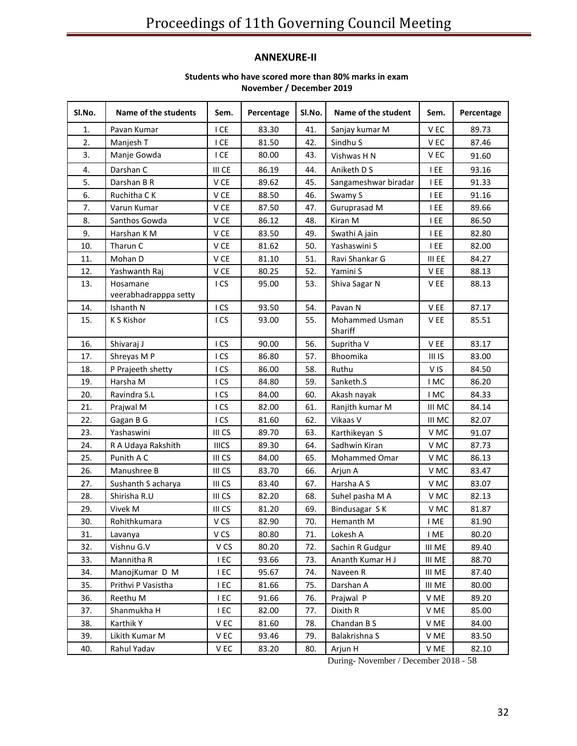#### **ANNEXURE-II**

#### **Students who have scored more than 80% marks in exam November / December 2019**

| Sl.No. | Name of the students              | Sem.            | Percentage | Sl.No. | Name of the student       | Sem.   | Percentage |
|--------|-----------------------------------|-----------------|------------|--------|---------------------------|--------|------------|
| 1.     | Pavan Kumar                       | I CE            | 83.30      | 41.    | Sanjay kumar M            | V EC   | 89.73      |
| 2.     | Manjesh T                         | I CE            | 81.50      | 42.    | Sindhu S                  | V EC   | 87.46      |
| 3.     | Manje Gowda                       | I CE            | 80.00      | 43.    | Vishwas H N               | V EC   | 91.60      |
| 4.     | Darshan C                         | III CE          | 86.19      | 44.    | Aniketh D S               | I EE   | 93.16      |
| 5.     | Darshan B R                       | V CE            | 89.62      | 45.    | Sangameshwar biradar      | I EE   | 91.33      |
| 6.     | Ruchitha CK                       | V CE            | 88.50      | 46.    | Swamy S                   | I EE   | 91.16      |
| 7.     | Varun Kumar                       | V CE            | 87.50      | 47.    | Guruprasad M              | I EE   | 89.66      |
| 8.     | Santhos Gowda                     | V CE            | 86.12      | 48.    | Kiran M                   | I EE   | 86.50      |
| 9.     | Harshan K M                       | V CE            | 83.50      | 49.    | Swathi A jain             | I EE   | 82.80      |
| 10.    | Tharun C                          | V CE            | 81.62      | 50.    | Yashaswini S              | I EE   | 82.00      |
| 11.    | Mohan D                           | V CE            | 81.10      | 51.    | Ravi Shankar G            | III EE | 84.27      |
| 12.    | Yashwanth Raj                     | V CE            | 80.25      | 52.    | Yamini S                  | V EE   | 88.13      |
| 13.    | Hosamane<br>veerabhadrapppa setty | I CS            | 95.00      | 53.    | Shiva Sagar N             | V EE   | 88.13      |
| 14.    | Ishanth N                         | I CS            | 93.50      | 54.    | Pavan N                   | V EE   | 87.17      |
| 15.    | K S Kishor                        | I CS            | 93.00      | 55.    | Mohammed Usman<br>Shariff | V EE   | 85.51      |
| 16.    | Shivaraj J                        | I CS            | 90.00      | 56.    | Supritha V                | V EE   | 83.17      |
| 17.    | Shreyas M P                       | I CS            | 86.80      | 57.    | Bhoomika                  | III IS | 83.00      |
| 18.    | P Prajeeth shetty                 | I CS            | 86.00      | 58.    | Ruthu                     | V IS   | 84.50      |
| 19.    | Harsha M                          | I CS            | 84.80      | 59.    | Sanketh.S                 | I MC   | 86.20      |
| 20.    | Ravindra S.L                      | I CS            | 84.00      | 60.    | Akash nayak               | I MC   | 84.33      |
| 21.    | Prajwal M                         | I CS            | 82.00      | 61.    | Ranjith kumar M           | III MC | 84.14      |
| 22.    | Gagan B G                         | I CS            | 81.60      | 62.    | Vikaas V                  | III MC | 82.07      |
| 23.    | Yashaswini                        | III CS          | 89.70      | 63.    | Karthikeyan S             | V MC   | 91.07      |
| 24.    | R A Udaya Rakshith                | <b>IIICS</b>    | 89.30      | 64.    | Sadhwin Kiran             | V MC   | 87.73      |
| 25.    | Punith A C                        | III CS          | 84.00      | 65.    | Mohammed Omar             | V MC   | 86.13      |
| 26.    | Manushree B                       | III CS          | 83.70      | 66.    | Arjun A                   | V MC   | 83.47      |
| 27.    | Sushanth S acharya                | III CS          | 83.40      | 67.    | Harsha A S                | V MC   | 83.07      |
| 28.    | Shirisha R.U                      | III CS          | 82.20      | 68.    | Suhel pasha M A           | V MC   | 82.13      |
| 29.    | Vivek M                           | III CS          | 81.20      | 69.    | Bindusagar SK             | V MC   | 81.87      |
| 30.    | Rohithkumara                      | V <sub>CS</sub> | 82.90      | 70.    | Hemanth M                 | I ME   | 81.90      |
| 31.    | Lavanya                           | V CS            | 80.80      | 71.    | Lokesh A                  | I ME   | 80.20      |
| 32.    | Vishnu G.V                        | V CS            | 80.20      | 72.    | Sachin R Gudgur           | III ME | 89.40      |
| 33.    | Mannitha R                        | I EC            | 93.66      | 73.    | Ananth Kumar H J          | III ME | 88.70      |
| 34.    | ManojKumar D M                    | I EC            | 95.67      | 74.    | Naveen R                  | III ME | 87.40      |
| 35.    | Prithvi P Vasistha                | $\sf I$ EC      | 81.66      | 75.    | Darshan A                 | III ME | 80.00      |
| 36.    | Reethu M                          | I EC            | 91.66      | 76.    | Prajwal P                 | V ME   | 89.20      |
| 37.    | Shanmukha H                       | I EC            | 82.00      | 77.    | Dixith R                  | V ME   | 85.00      |
| 38.    | Karthik Y                         | V EC            | 81.60      | 78.    | Chandan B S               | V ME   | 84.00      |
| 39.    | Likith Kumar M                    | V EC            | 93.46      | 79.    | Balakrishna S             | V ME   | 83.50      |
| 40.    | Rahul Yadav                       | V EC            | 83.20      | 80.    | Arjun H                   | V ME   | 82.10      |

During- November / December 2018 - 58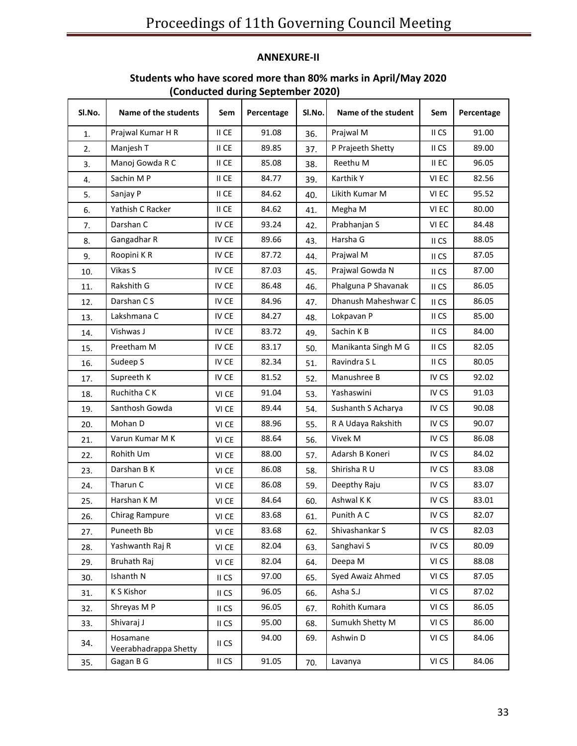## **ANNEXURE-II**

#### **Students who have scored more than 80% marks in April/May 2020 (Conducted during September 2020)**

| Sl.No. | Name of the students              | Sem   | Percentage | SI.No. | Name of the student | Sem              | Percentage |
|--------|-----------------------------------|-------|------------|--------|---------------------|------------------|------------|
| 1.     | Prajwal Kumar H R                 | II CE | 91.08      | 36.    | Prajwal M           | II CS            | 91.00      |
| 2.     | Manjesh T                         | II CE | 89.85      | 37.    | P Prajeeth Shetty   | II CS            | 89.00      |
| 3.     | Manoj Gowda R C                   | II CE | 85.08      | 38.    | Reethu M            | II EC            | 96.05      |
| 4.     | Sachin M P                        | II CE | 84.77      | 39.    | Karthik Y           | VI EC            | 82.56      |
| 5.     | Sanjay P                          | II CE | 84.62      | 40.    | Likith Kumar M      | VI EC            | 95.52      |
| 6.     | Yathish C Racker                  | II CE | 84.62      | 41.    | Megha M             | VI EC            | 80.00      |
| 7.     | Darshan C                         | IV CE | 93.24      | 42.    | Prabhanjan S        | VI EC            | 84.48      |
| 8.     | Gangadhar R                       | IV CE | 89.66      | 43.    | Harsha G            | II CS            | 88.05      |
| 9.     | Roopini KR                        | IV CE | 87.72      | 44.    | Prajwal M           | II CS            | 87.05      |
| 10.    | Vikas S                           | IV CE | 87.03      | 45.    | Prajwal Gowda N     | II CS            | 87.00      |
| 11.    | Rakshith G                        | IV CE | 86.48      | 46.    | Phalguna P Shavanak | II CS            | 86.05      |
| 12.    | Darshan CS                        | IV CE | 84.96      | 47.    | Dhanush Maheshwar C | II CS            | 86.05      |
| 13.    | Lakshmana C                       | IV CE | 84.27      | 48.    | Lokpavan P          | II CS            | 85.00      |
| 14.    | Vishwas J                         | IV CE | 83.72      | 49.    | Sachin K B          | II CS            | 84.00      |
| 15.    | Preetham M                        | IV CE | 83.17      | 50.    | Manikanta Singh M G | II CS            | 82.05      |
| 16.    | Sudeep S                          | IV CE | 82.34      | 51.    | Ravindra SL         | II CS            | 80.05      |
| 17.    | Supreeth K                        | IV CE | 81.52      | 52.    | Manushree B         | IV <sub>CS</sub> | 92.02      |
| 18.    | Ruchitha C K                      | VI CE | 91.04      | 53.    | Yashaswini          | IV CS            | 91.03      |
| 19.    | Santhosh Gowda                    | VI CE | 89.44      | 54.    | Sushanth S Acharya  | IV <sub>CS</sub> | 90.08      |
| 20.    | Mohan D                           | VI CE | 88.96      | 55.    | R A Udaya Rakshith  | IV <sub>CS</sub> | 90.07      |
| 21.    | Varun Kumar M K                   | VI CE | 88.64      | 56.    | Vivek M             | IV <sub>CS</sub> | 86.08      |
| 22.    | Rohith Um                         | VI CE | 88.00      | 57.    | Adarsh B Koneri     | IV <sub>CS</sub> | 84.02      |
| 23.    | Darshan B K                       | VI CE | 86.08      | 58.    | Shirisha R U        | IV <sub>CS</sub> | 83.08      |
| 24.    | Tharun C                          | VI CE | 86.08      | 59.    | Deepthy Raju        | IV <sub>CS</sub> | 83.07      |
| 25.    | Harshan K M                       | VI CE | 84.64      | 60.    | Ashwal K K          | IV <sub>CS</sub> | 83.01      |
| 26.    | Chirag Rampure                    | VI CE | 83.68      | 61.    | Punith A C          | IV <sub>CS</sub> | 82.07      |
| 27.    | Puneeth Bb                        | VI CE | 83.68      | 62.    | Shivashankar S      | IV <sub>CS</sub> | 82.03      |
| 28.    | Yashwanth Raj R                   | VI CE | 82.04      | 63.    | Sanghavi S          | IV <sub>CS</sub> | 80.09      |
| 29.    | Bruhath Raj                       | VI CE | 82.04      | 64.    | Deepa M             | VI CS            | 88.08      |
| 30.    | Ishanth N                         | II CS | 97.00      | 65.    | Syed Awaiz Ahmed    | VI CS            | 87.05      |
| 31.    | K S Kishor                        | II CS | 96.05      | 66.    | Asha S.J            | VI CS            | 87.02      |
| 32.    | Shreyas M P                       | II CS | 96.05      | 67.    | Rohith Kumara       | VI CS            | 86.05      |
| 33.    | Shivaraj J                        | II CS | 95.00      | 68.    | Sumukh Shetty M     | VI CS            | 86.00      |
| 34.    | Hosamane<br>Veerabhadrappa Shetty | II CS | 94.00      | 69.    | Ashwin D            | VI CS            | 84.06      |
| 35.    | Gagan B G                         | II CS | 91.05      | 70.    | Lavanya             | VI CS            | 84.06      |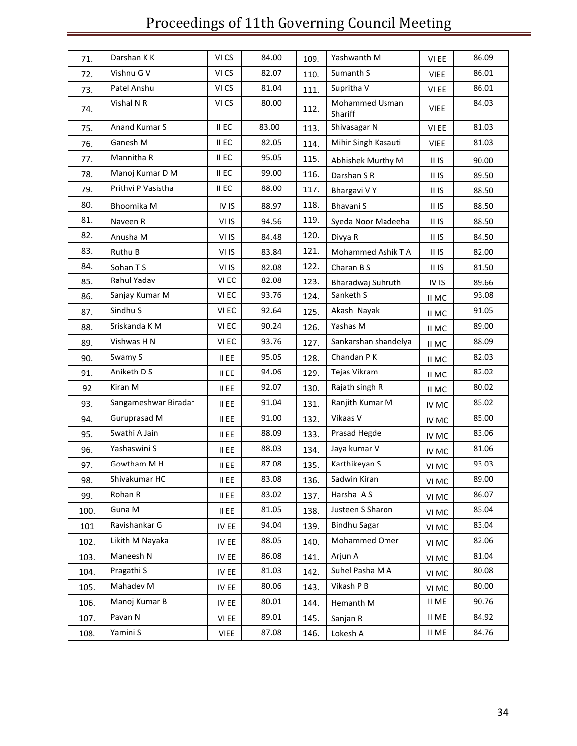# Proceedings of 11th Governing Council Meeting

|      | Darshan K K          | VI CS | 84.00 |      | Yashwanth M               |                               | 86.09 |
|------|----------------------|-------|-------|------|---------------------------|-------------------------------|-------|
| 71.  |                      |       |       | 109. |                           | VI EE                         |       |
| 72.  | Vishnu G V           | VI CS | 82.07 | 110. | Sumanth S                 | <b>VIEE</b>                   | 86.01 |
| 73.  | Patel Anshu          | VI CS | 81.04 | 111. | Supritha V                | VI EE                         | 86.01 |
| 74.  | Vishal N R           | VI CS | 80.00 | 112. | Mohammed Usman<br>Shariff | <b>VIEE</b>                   | 84.03 |
| 75.  | Anand Kumar S        | II EC | 83.00 | 113. | Shivasagar N              | VI EE                         | 81.03 |
| 76.  | Ganesh M             | II EC | 82.05 | 114. | Mihir Singh Kasauti       | <b>VIEE</b>                   | 81.03 |
| 77.  | Mannitha R           | II EC | 95.05 | 115. | Abhishek Murthy M         | II IS                         | 90.00 |
| 78.  | Manoj Kumar D M      | II EC | 99.00 | 116. | Darshan S R               | $II$ IS                       | 89.50 |
| 79.  | Prithvi P Vasistha   | II EC | 88.00 | 117. | Bhargavi V Y              | $\ensuremath{\mathsf{II}}$ IS | 88.50 |
| 80.  | Bhoomika M           | IV IS | 88.97 | 118. | Bhavani S                 | IIIS                          | 88.50 |
| 81.  | Naveen R             | VI IS | 94.56 | 119. | Syeda Noor Madeeha        | II IS                         | 88.50 |
| 82.  | Anusha M             | VI IS | 84.48 | 120. | Divya R                   | $II$ IS                       | 84.50 |
| 83.  | Ruthu B              | VI IS | 83.84 | 121. | Mohammed Ashik T A        | $II$ IS                       | 82.00 |
| 84.  | Sohan T S            | VI IS | 82.08 | 122. | Charan B S                | $II$ IS                       | 81.50 |
| 85.  | Rahul Yadav          | VI EC | 82.08 | 123. | Bharadwaj Suhruth         | IV IS                         | 89.66 |
| 86.  | Sanjay Kumar M       | VI EC | 93.76 | 124. | Sanketh S                 | II MC                         | 93.08 |
| 87.  | Sindhu S             | VI EC | 92.64 | 125. | Akash Nayak               | $\,$ II MC $\,$               | 91.05 |
| 88.  | Sriskanda K M        | VI EC | 90.24 | 126. | Yashas M                  | II MC                         | 89.00 |
| 89.  | Vishwas H N          | VI EC | 93.76 | 127. | Sankarshan shandelya      | II MC                         | 88.09 |
| 90.  | Swamy S              | II EE | 95.05 | 128. | Chandan P K               | II MC                         | 82.03 |
| 91.  | Aniketh D S          | II EE | 94.06 | 129. | Tejas Vikram              | II MC                         | 82.02 |
| 92   | Kiran M              | II EE | 92.07 | 130. | Rajath singh R            | II MC                         | 80.02 |
| 93.  | Sangameshwar Biradar | II EE | 91.04 | 131. | Ranjith Kumar M           | IV MC                         | 85.02 |
| 94.  | Guruprasad M         | II EE | 91.00 | 132. | Vikaas V                  | IV MC                         | 85.00 |
| 95.  | Swathi A Jain        | II EE | 88.09 | 133. | Prasad Hegde              | IV MC                         | 83.06 |
| 96.  | Yashaswini S         | II EE | 88.03 | 134. | Jaya kumar V              | IV MC                         | 81.06 |
| 97.  | Gowtham M H          | II EE | 87.08 | 135. | Karthikeyan S             | VI MC                         | 93.03 |
| 98.  | Shivakumar HC        | II EE | 83.08 | 136. | Sadwin Kiran              | VI MC                         | 89.00 |
| 99.  | Rohan R              | II EE | 83.02 | 137. | Harsha AS                 | VI MC                         | 86.07 |
| 100. | Guna M               | II EE | 81.05 | 138. | Justeen S Sharon          | VI MC                         | 85.04 |
| 101  | Ravishankar G        | IV EE | 94.04 | 139. | <b>Bindhu Sagar</b>       | VI MC                         | 83.04 |
| 102. | Likith M Nayaka      | IV EE | 88.05 | 140. | Mohammed Omer             | VI MC                         | 82.06 |
| 103. | Maneesh N            | IV EE | 86.08 | 141. | Arjun A                   | VI MC                         | 81.04 |
| 104. | Pragathi S           | IV EE | 81.03 | 142. | Suhel Pasha M A           | VI MC                         | 80.08 |
| 105. | Mahadev M            | IV EE | 80.06 | 143. | Vikash P B                | VI MC                         | 80.00 |
| 106. | Manoj Kumar B        | IV EE | 80.01 | 144. | Hemanth M                 | II ME                         | 90.76 |
| 107. | Pavan N              | VI EE | 89.01 | 145. | Sanjan R                  | II ME                         | 84.92 |
| 108. | Yamini S             | VIEE  | 87.08 | 146. | Lokesh A                  | II ME                         | 84.76 |